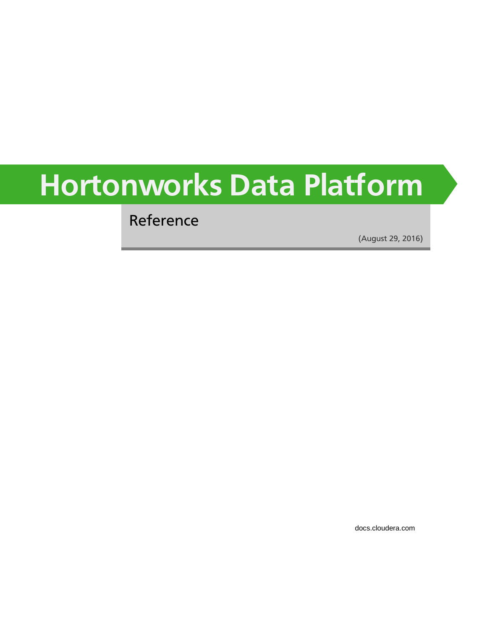# **Hortonworks Data Platform**

Reference

(August 29, 2016)

[docs.cloudera.com](http://docs.cloudera.com)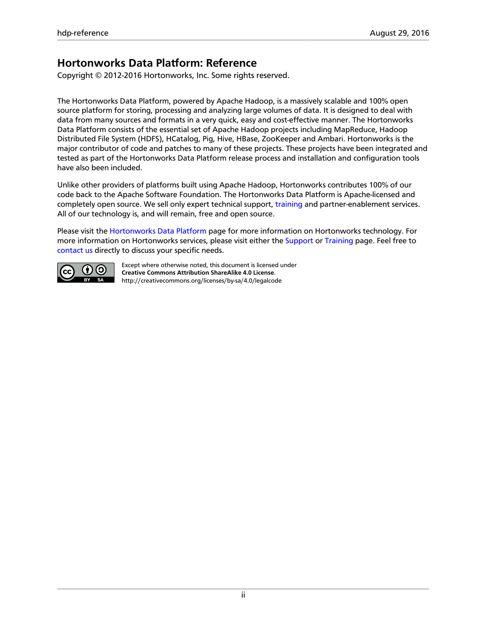#### **Hortonworks Data Platform: Reference**

Copyright © 2012-2016 Hortonworks, Inc. Some rights reserved.

The Hortonworks Data Platform, powered by Apache Hadoop, is a massively scalable and 100% open source platform for storing, processing and analyzing large volumes of data. It is designed to deal with data from many sources and formats in a very quick, easy and cost-effective manner. The Hortonworks Data Platform consists of the essential set of Apache Hadoop projects including MapReduce, Hadoop Distributed File System (HDFS), HCatalog, Pig, Hive, HBase, ZooKeeper and Ambari. Hortonworks is the major contributor of code and patches to many of these projects. These projects have been integrated and tested as part of the Hortonworks Data Platform release process and installation and configuration tools have also been included.

Unlike other providers of platforms built using Apache Hadoop, Hortonworks contributes 100% of our code back to the Apache Software Foundation. The Hortonworks Data Platform is Apache-licensed and completely open source. We sell only expert technical support, [training](https://hortonworks.com/training/) and partner-enablement services. All of our technology is, and will remain, free and open source.

Please visit the [Hortonworks Data Platform](https://hortonworks.com/products/hdp/) page for more information on Hortonworks technology. For more information on Hortonworks services, please visit either the [Support](https://hortonworks.com/services/) or [Training](https://hortonworks.com/training/) page. Feel free to [contact us](https://hortonworks.com/contact-us/) directly to discuss your specific needs.



Except where otherwise noted, this document is licensed under **[Creative Commons Attribution ShareAlike 4.0 License](http://creativecommons.org/licenses/by-sa/4.0/legalcode)**. <http://creativecommons.org/licenses/by-sa/4.0/legalcode>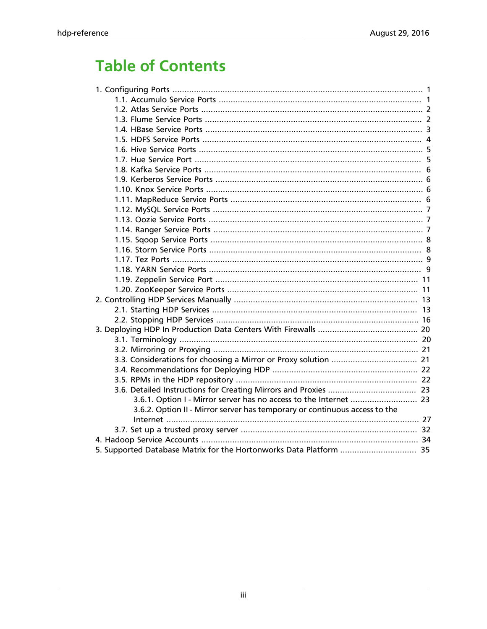### **Table of Contents**

| 3.6.2. Option II - Mirror server has temporary or continuous access to the |  |
|----------------------------------------------------------------------------|--|
|                                                                            |  |
|                                                                            |  |
|                                                                            |  |
|                                                                            |  |
|                                                                            |  |
|                                                                            |  |
|                                                                            |  |
|                                                                            |  |
|                                                                            |  |
|                                                                            |  |
|                                                                            |  |
|                                                                            |  |
|                                                                            |  |
|                                                                            |  |
|                                                                            |  |
|                                                                            |  |
|                                                                            |  |
|                                                                            |  |
|                                                                            |  |
|                                                                            |  |
|                                                                            |  |
|                                                                            |  |
|                                                                            |  |
|                                                                            |  |
|                                                                            |  |
|                                                                            |  |
|                                                                            |  |
|                                                                            |  |
|                                                                            |  |
|                                                                            |  |
|                                                                            |  |
|                                                                            |  |
|                                                                            |  |
|                                                                            |  |
|                                                                            |  |
| 5. Supported Database Matrix for the Hortonworks Data Platform  35         |  |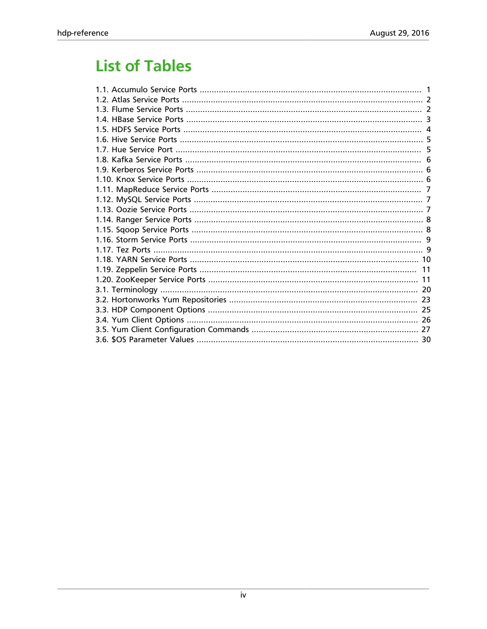### **List of Tables**

| 30 |
|----|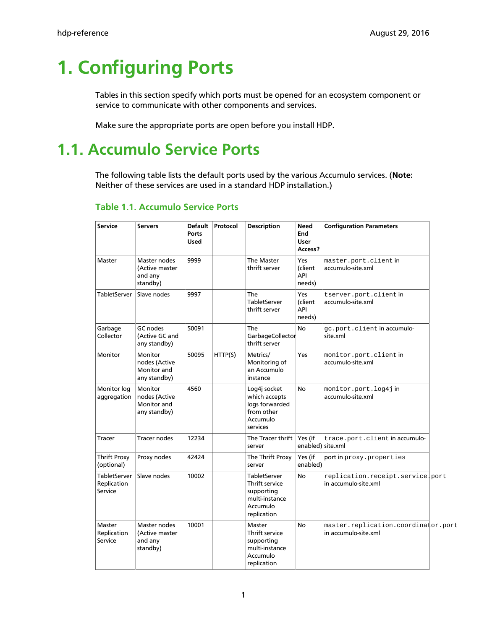# <span id="page-4-0"></span>**1. Configuring Ports**

Tables in this section specify which ports must be opened for an ecosystem component or service to communicate with other components and services.

Make sure the appropriate ports are open before you install HDP.

### <span id="page-4-1"></span>**1.1. Accumulo Service Ports**

The following table lists the default ports used by the various Accumulo services. (**Note:** Neither of these services are used in a standard HDP installation.)

| <b>Service</b>                                | <b>Servers</b>                                          | <b>Default</b><br><b>Ports</b><br><b>Used</b> | Protocol | <b>Description</b>                                                                        | <b>Need</b><br>End<br><b>User</b><br>Access? | <b>Configuration Parameters</b>                             |  |
|-----------------------------------------------|---------------------------------------------------------|-----------------------------------------------|----------|-------------------------------------------------------------------------------------------|----------------------------------------------|-------------------------------------------------------------|--|
| Master                                        | Master nodes<br>(Active master<br>and any<br>standby)   | 9999                                          |          | The Master<br>thrift server                                                               | Yes<br>(client<br>API<br>needs)              | master.port.client in<br>accumulo-site.xml                  |  |
| TabletServer                                  | Slave nodes                                             | 9997                                          |          | The<br><b>TabletServer</b><br>thrift server                                               | Yes<br>(client<br>API<br>needs)              | tserver.port.client in<br>accumulo-site.xml                 |  |
| Garbage<br>Collector                          | GC nodes<br>(Active GC and<br>any standby)              | 50091                                         |          | The<br>GarbageCollector<br>thrift server                                                  | <b>No</b>                                    | gc.port.client in accumulo-<br>site.xml                     |  |
| Monitor                                       | Monitor<br>nodes (Active<br>Monitor and<br>any standby) | 50095                                         | HTTP(S)  | Metrics/<br>Monitoring of<br>an Accumulo<br>instance                                      | Yes                                          | monitor.port.client in<br>accumulo-site.xml                 |  |
| Monitor log<br>aggregation                    | Monitor<br>nodes (Active<br>Monitor and<br>any standby) | 4560                                          |          | Log4j socket<br>which accepts<br>logs forwarded<br>from other<br>Accumulo<br>services     | <b>No</b>                                    | monitor.port.log4jin<br>accumulo-site.xml                   |  |
| Tracer                                        | <b>Tracer nodes</b>                                     | 12234                                         |          | The Tracer thrift<br>server                                                               | Yes (if                                      | trace.port.client in accumulo-<br>enabled) site.xml         |  |
| <b>Thrift Proxy</b><br>(optional)             | Proxy nodes                                             | 42424                                         |          | The Thrift Proxy<br>server                                                                | Yes (if<br>enabled)                          | port in proxy. properties                                   |  |
| <b>TabletServer</b><br>Replication<br>Service | Slave nodes                                             | 10002                                         |          | TabletServer<br>Thrift service<br>supporting<br>multi-instance<br>Accumulo<br>replication | No                                           | replication.receipt.service.port<br>in accumulo-site.xml    |  |
| Master<br>Replication<br>Service              | Master nodes<br>(Active master<br>and any<br>standby)   | 10001                                         |          | Master<br>Thrift service<br>supporting<br>multi-instance<br>Accumulo<br>replication       | No                                           | master.replication.coordinator.port<br>in accumulo-site.xml |  |

#### <span id="page-4-2"></span>**Table 1.1. Accumulo Service Ports**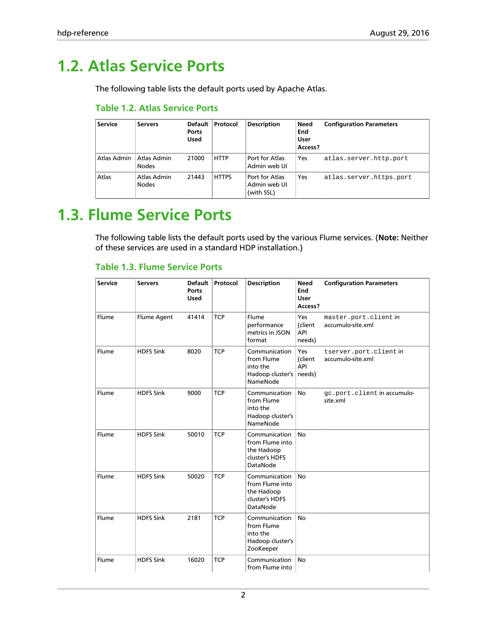### <span id="page-5-2"></span><span id="page-5-0"></span>**1.2. Atlas Service Ports**

The following table lists the default ports used by Apache Atlas.

#### **Table 1.2. Atlas Service Ports**

| <b>Service</b> | <b>Servers</b>              | Default<br>Ports<br><b>Used</b> | Protocol     | <b>Description</b>                           | Need<br>End<br>User<br>Access? | <b>Configuration Parameters</b> |
|----------------|-----------------------------|---------------------------------|--------------|----------------------------------------------|--------------------------------|---------------------------------|
| Atlas Admin    | Atlas Admin<br><b>Nodes</b> | 21000                           | <b>HTTP</b>  | Port for Atlas<br>Admin web UI               | Yes                            | atlas.server.http.port          |
| Atlas          | Atlas Admin<br><b>Nodes</b> | 21443                           | <b>HTTPS</b> | Port for Atlas<br>Admin web UI<br>(with SSL) | Yes                            | atlas.server.https.port         |

### <span id="page-5-1"></span>**1.3. Flume Service Ports**

The following table lists the default ports used by the various Flume services. (**Note:** Neither of these services are used in a standard HDP installation.)

#### <span id="page-5-3"></span>**Table 1.3. Flume Service Ports**

| <b>Service</b> | <b>Servers</b>   | <b>Default</b><br><b>Ports</b><br><b>Used</b> | Protocol   | <b>Description</b>                                                           | <b>Need</b><br>End<br><b>User</b><br>Access? | <b>Configuration Parameters</b>            |
|----------------|------------------|-----------------------------------------------|------------|------------------------------------------------------------------------------|----------------------------------------------|--------------------------------------------|
| Flume          | Flume Agent      | 41414                                         | <b>TCP</b> | Flume<br>performance<br>metrics in JSON<br>format                            | Yes<br>(client<br>API<br>needs)              | master.port.client in<br>accumulo-site.xml |
| Flume          | <b>HDFS Sink</b> | 8020                                          | <b>TCP</b> | Communication<br>from Flume<br>into the<br>Hadoop cluster's<br>NameNode      | Yes<br>(client<br>API<br>needs)              | tserver.port.clientin<br>accumulo-site.xml |
| Flume          | <b>HDFS Sink</b> | 9000                                          | <b>TCP</b> | Communication<br>from Flume<br>into the<br>Hadoop cluster's<br>NameNode      | <b>No</b>                                    | gc.port.client in accumulo-<br>site.xml    |
| Flume          | <b>HDFS Sink</b> | 50010                                         | <b>TCP</b> | Communication<br>from Flume into<br>the Hadoop<br>cluster's HDFS<br>DataNode | <b>No</b>                                    |                                            |
| Flume          | <b>HDFS Sink</b> | 50020                                         | <b>TCP</b> | Communication<br>from Flume into<br>the Hadoop<br>cluster's HDFS<br>DataNode | <b>No</b>                                    |                                            |
| Flume          | <b>HDFS Sink</b> | 2181                                          | <b>TCP</b> | Communication<br>from Flume<br>into the<br>Hadoop cluster's<br>ZooKeeper     | <b>No</b>                                    |                                            |
| Flume          | <b>HDFS Sink</b> | 16020                                         | <b>TCP</b> | Communication<br>from Flume into                                             | <b>No</b>                                    |                                            |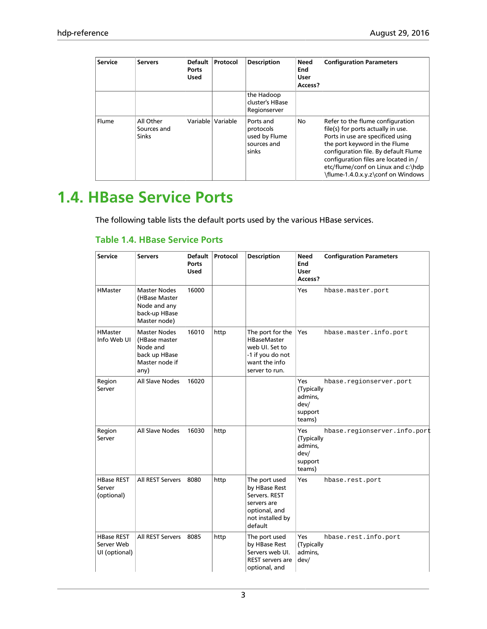| <b>Service</b> | <b>Servers</b>                           | <b>Default</b><br>Ports<br><b>Used</b> | Protocol | <b>Description</b>                                              | <b>Need</b><br>End<br><b>User</b><br>Access? | <b>Configuration Parameters</b>                                                                                                                                                                                                                                                                          |
|----------------|------------------------------------------|----------------------------------------|----------|-----------------------------------------------------------------|----------------------------------------------|----------------------------------------------------------------------------------------------------------------------------------------------------------------------------------------------------------------------------------------------------------------------------------------------------------|
|                |                                          |                                        |          | the Hadoop<br>cluster's HBase<br>Regionserver                   |                                              |                                                                                                                                                                                                                                                                                                          |
| Flume          | All Other<br>Sources and<br><b>Sinks</b> | Variable                               | Variable | Ports and<br>protocols<br>used by Flume<br>sources and<br>sinks | No                                           | Refer to the flume configuration<br>file(s) for ports actually in use.<br>Ports in use are specificed using<br>the port keyword in the Flume<br>configuration file. By default Flume<br>configuration files are located in /<br>etc/flume/conf on Linux and c:\hdp<br>\flume-1.4.0.x.y.z\conf on Windows |

### <span id="page-6-0"></span>**1.4. HBase Service Ports**

The following table lists the default ports used by the various HBase services.

#### <span id="page-6-1"></span>**Table 1.4. HBase Service Ports**

| <b>Service</b>                                   | <b>Servers</b>                                                                              | <b>Default</b><br><b>Ports</b><br><b>Used</b> | Protocol | <b>Description</b>                                                                                              | <b>Need</b><br>End<br>User<br>Access?                     | <b>Configuration Parameters</b> |
|--------------------------------------------------|---------------------------------------------------------------------------------------------|-----------------------------------------------|----------|-----------------------------------------------------------------------------------------------------------------|-----------------------------------------------------------|---------------------------------|
| <b>HMaster</b>                                   | <b>Master Nodes</b><br>(HBase Master<br>Node and any<br>back-up HBase<br>Master node)       | 16000                                         |          |                                                                                                                 | Yes                                                       | hbase.master.port               |
| <b>HMaster</b><br>Info Web UI                    | <b>Master Nodes</b><br>(HBase master<br>Node and<br>back up HBase<br>Master node if<br>any) | 16010                                         | http     | The port for the<br><b>HBaseMaster</b><br>web UI. Set to<br>-1 if you do not<br>want the info<br>server to run. | Yes                                                       | hbase.master.info.port          |
| Region<br>Server                                 | All Slave Nodes                                                                             | 16020                                         |          |                                                                                                                 | Yes<br>(Typically<br>admins,<br>dev/<br>support<br>teams) | hbase.regionserver.port         |
| Region<br>Server                                 | All Slave Nodes                                                                             | 16030                                         | http     |                                                                                                                 | Yes<br>(Typically<br>admins,<br>dev/<br>support<br>teams) | hbase.regionserver.info.port    |
| <b>HBase REST</b><br>Server<br>(optional)        | All REST Servers                                                                            | 8080                                          | http     | The port used<br>by HBase Rest<br>Servers. REST<br>servers are<br>optional, and<br>not installed by<br>default  | Yes                                                       | hbase.rest.port                 |
| <b>HBase REST</b><br>Server Web<br>UI (optional) | All REST Servers                                                                            | 8085                                          | http     | The port used<br>by HBase Rest<br>Servers web UI.<br>REST servers are<br>optional, and                          | Yes<br>(Typically<br>admins,<br>dev/                      | hbase.rest.info.port            |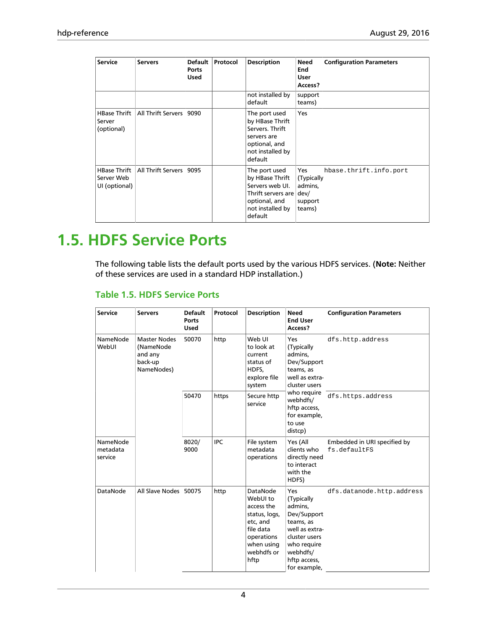| <b>Service</b>                                     | <b>Servers</b>            | <b>Default</b><br>Ports<br><b>Used</b> | Protocol | <b>Description</b>                                                                                                               | Need<br>End<br>User<br>Access?                           | <b>Configuration Parameters</b> |
|----------------------------------------------------|---------------------------|----------------------------------------|----------|----------------------------------------------------------------------------------------------------------------------------------|----------------------------------------------------------|---------------------------------|
|                                                    |                           |                                        |          | not installed by<br>default                                                                                                      | support<br>teams)                                        |                                 |
| <b>HBase Thrift</b><br>Server<br>(optional)        | All Thrift Servers        | 9090                                   |          | The port used<br>by HBase Thrift<br>Servers. Thrift<br>servers are<br>optional, and<br>not installed by<br>default               | Yes                                                      |                                 |
| <b>HBase Thrift</b><br>Server Web<br>UI (optional) | <b>All Thrift Servers</b> | 9095                                   |          | The port used<br>by HBase Thrift<br>Servers web UI.<br>Thrift servers are   dev/<br>optional, and<br>not installed by<br>default | <b>Yes</b><br>(Typically<br>admins,<br>support<br>teams) | hbase.thrift.info.port          |

### <span id="page-7-0"></span>**1.5. HDFS Service Ports**

The following table lists the default ports used by the various HDFS services. (**Note:** Neither of these services are used in a standard HDP installation.)

#### <span id="page-7-1"></span>**Table 1.5. HDFS Service Ports**

| <b>Service</b>                  | <b>Servers</b>                                                       | <b>Default</b><br>Ports<br><b>Used</b> | Protocol   | <b>Description</b>                                                                                                             | <b>Need</b><br><b>End User</b><br>Access?                                                                                                              | <b>Configuration Parameters</b>              |
|---------------------------------|----------------------------------------------------------------------|----------------------------------------|------------|--------------------------------------------------------------------------------------------------------------------------------|--------------------------------------------------------------------------------------------------------------------------------------------------------|----------------------------------------------|
| NameNode<br>WebUI               | <b>Master Nodes</b><br>(NameNode<br>and any<br>back-up<br>NameNodes) | 50070                                  | http       | Web UI<br>to look at<br>current<br>status of<br>HDFS,<br>explore file<br>system                                                | Yes<br>(Typically<br>admins,<br>Dev/Support<br>teams, as<br>well as extra-<br>cluster users                                                            | dfs.http.address                             |
|                                 |                                                                      | 50470                                  | https      | Secure http<br>service                                                                                                         | who require<br>webhdfs/<br>hftp access,<br>for example,<br>to use<br>distcp)                                                                           | dfs.https.address                            |
| NameNode<br>metadata<br>service |                                                                      | 8020/<br>9000                          | <b>IPC</b> | File system<br>metadata<br>operations                                                                                          | Yes (All<br>clients who<br>directly need<br>to interact<br>with the<br>HDFS)                                                                           | Embedded in URI specified by<br>fs.defaultFS |
| DataNode                        | All Slave Nodes                                                      | 50075                                  | http       | DataNode<br>WebUI to<br>access the<br>status, logs,<br>etc. and<br>file data<br>operations<br>when using<br>webhdfs or<br>hftp | Yes<br>(Typically<br>admins.<br>Dev/Support<br>teams, as<br>well as extra-<br>cluster users<br>who require<br>webhdfs/<br>hftp access,<br>for example, | dfs.datanode.http.address                    |

4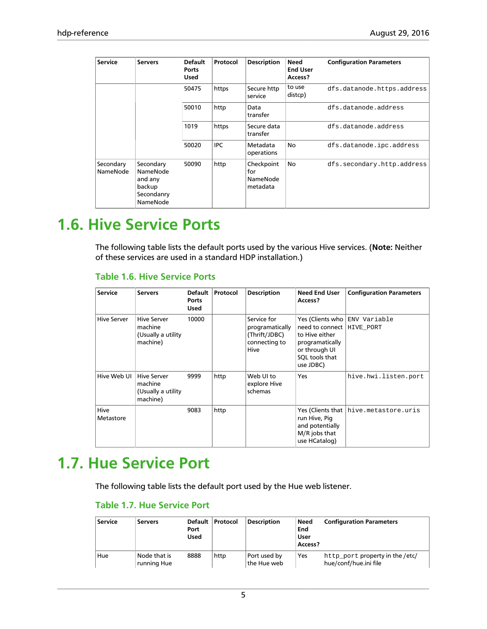| <b>Service</b>        | <b>Servers</b>                                                       | <b>Default</b><br>Ports<br><b>Used</b> | Protocol   | <b>Description</b>                        | <b>Need</b><br><b>End User</b><br>Access? | <b>Configuration Parameters</b> |
|-----------------------|----------------------------------------------------------------------|----------------------------------------|------------|-------------------------------------------|-------------------------------------------|---------------------------------|
|                       |                                                                      | 50475                                  | https      | Secure http<br>service                    | to use<br>distcp)                         | dfs.datanode.https.address      |
|                       |                                                                      | 50010                                  | http       | Data<br>transfer                          |                                           | dfs.datanode.address            |
|                       |                                                                      | 1019                                   | https      | Secure data<br>transfer                   |                                           | dfs.datanode.address            |
|                       |                                                                      | 50020                                  | <b>IPC</b> | Metadata<br>operations                    | No                                        | dfs.datanode.ipc.address        |
| Secondary<br>NameNode | Secondary<br>NameNode<br>and any<br>backup<br>Secondanry<br>NameNode | 50090                                  | http       | Checkpoint<br>for<br>NameNode<br>metadata | <b>No</b>                                 | dfs.secondary.http.address      |

### <span id="page-8-0"></span>**1.6. Hive Service Ports**

The following table lists the default ports used by the various Hive services. (**Note:** Neither of these services are used in a standard HDP installation.)

#### <span id="page-8-2"></span>**Table 1.6. Hive Service Ports**

| <b>Service</b>    | <b>Servers</b>                                                   | Default<br>Ports<br><b>Used</b> | Protocol | <b>Description</b>                                                       | <b>Need End User</b><br>Access?                                                                                  | <b>Configuration Parameters</b>       |
|-------------------|------------------------------------------------------------------|---------------------------------|----------|--------------------------------------------------------------------------|------------------------------------------------------------------------------------------------------------------|---------------------------------------|
| Hive Server       | <b>Hive Server</b><br>machine<br>(Usually a utility)<br>machine) | 10000                           |          | Service for<br>programatically<br>(Thrift/JDBC)<br>connecting to<br>Hive | need to connect   HIVE PORT<br>to Hive either<br>programatically<br>or through UI<br>SQL tools that<br>use JDBC) | Yes (Clients who ENV Variable         |
| Hive Web UI       | <b>Hive Server</b><br>machine<br>(Usually a utility<br>machine)  | 9999                            | http     | Web UI to<br>explore Hive<br>schemas                                     | Yes                                                                                                              | hive.hwi.listen.port                  |
| Hive<br>Metastore |                                                                  | 9083                            | http     |                                                                          | run Hive, Pig<br>and potentially<br>M/R jobs that<br>use HCatalog)                                               | Yes (Clients that hive.metastore.uris |

### <span id="page-8-3"></span><span id="page-8-1"></span>**1.7. Hue Service Port**

The following table lists the default port used by the Hue web listener.

#### **Table 1.7. Hue Service Port**

| <b>Service</b> | <b>Servers</b>              | Default<br>Port<br><b>Used</b> | Protocol | <b>Description</b>          | Need<br>End<br>User<br>Access? | <b>Configuration Parameters</b>                          |
|----------------|-----------------------------|--------------------------------|----------|-----------------------------|--------------------------------|----------------------------------------------------------|
| Hue            | Node that is<br>running Hue | 8888                           | http     | Port used by<br>the Hue web | Yes                            | http_port property in the /etc/<br>hue/conf/hue.ini file |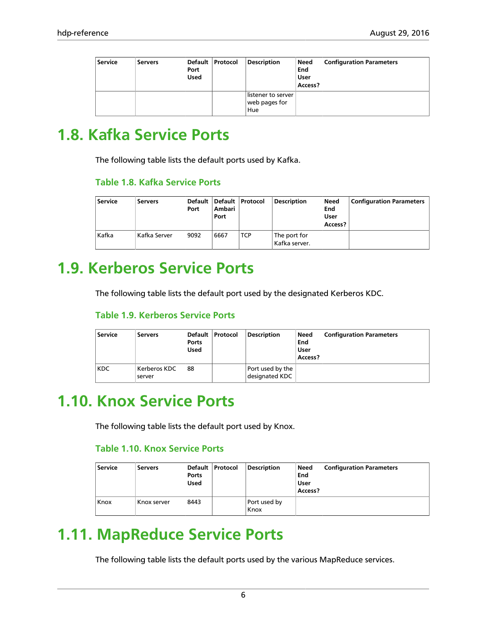| <b>Service</b> | <b>Servers</b> | Port<br><b>Used</b> | Default   Protocol | <b>Description</b>                         | Need<br>End<br>User<br>Access? | <b>Configuration Parameters</b> |
|----------------|----------------|---------------------|--------------------|--------------------------------------------|--------------------------------|---------------------------------|
|                |                |                     |                    | listener to server<br>web pages for<br>Hue |                                |                                 |

### <span id="page-9-0"></span>**1.8. Kafka Service Ports**

The following table lists the default ports used by Kafka.

#### <span id="page-9-4"></span>**Table 1.8. Kafka Service Ports**

| Service | <b>Servers</b> | Port | Ambari<br>Port | Default Default Protocol | <b>Description</b>              | Need<br>End<br>User<br>Access? | <b>Configuration Parameters</b> |
|---------|----------------|------|----------------|--------------------------|---------------------------------|--------------------------------|---------------------------------|
| Kafka   | Kafka Server   | 9092 | 6667           | <b>TCP</b>               | The port for<br>  Kafka server. |                                |                                 |

### <span id="page-9-5"></span><span id="page-9-1"></span>**1.9. Kerberos Service Ports**

The following table lists the default port used by the designated Kerberos KDC.

#### **Table 1.9. Kerberos Service Ports**

| <b>Service</b> | <b>Servers</b>           | Default<br>Ports<br><b>Used</b> | Protocol | <b>Description</b>                 | Need<br>End<br>User<br>Access? | <b>Configuration Parameters</b> |
|----------------|--------------------------|---------------------------------|----------|------------------------------------|--------------------------------|---------------------------------|
| <b>KDC</b>     | : Kerberos KDC<br>server | 88                              |          | Port used by the<br>designated KDC |                                |                                 |

### <span id="page-9-6"></span><span id="page-9-2"></span>**1.10. Knox Service Ports**

The following table lists the default port used by Knox.

#### **Table 1.10. Knox Service Ports**

| <b>Service</b> | <b>Servers</b> | Default<br>Ports<br><b>Used</b> | Protocol | <b>Description</b>   | Need<br>End<br>User<br>Access? | <b>Configuration Parameters</b> |
|----------------|----------------|---------------------------------|----------|----------------------|--------------------------------|---------------------------------|
| Knox           | Knox server    | 8443                            |          | Port used by<br>Knox |                                |                                 |

### <span id="page-9-3"></span>**1.11. MapReduce Service Ports**

The following table lists the default ports used by the various MapReduce services.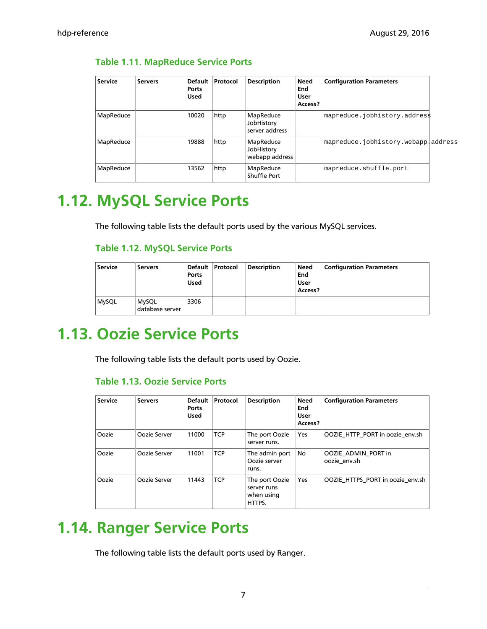| <b>Service</b> | <b>Servers</b> | Default<br>Ports<br><b>Used</b> | Protocol | <b>Description</b>                        | <b>Need</b><br>End<br>User<br>Access? | <b>Configuration Parameters</b>     |  |
|----------------|----------------|---------------------------------|----------|-------------------------------------------|---------------------------------------|-------------------------------------|--|
| MapReduce      |                | 10020                           | http     | MapReduce<br>JobHistory<br>server address |                                       | mapreduce.jobhistory.addres\$       |  |
| MapReduce      |                | 19888                           | http     | MapReduce<br>JobHistory<br>webapp address |                                       | mapreduce.jobhistory.webappladdress |  |
| MapReduce      |                | 13562                           | http     | MapReduce<br>Shuffle Port                 |                                       | mapreduce.shuffle.port              |  |

#### <span id="page-10-3"></span>**Table 1.11. MapReduce Service Ports**

### <span id="page-10-0"></span>**1.12. MySQL Service Ports**

<span id="page-10-4"></span>The following table lists the default ports used by the various MySQL services.

#### **Table 1.12. MySQL Service Ports**

| <b>Service</b> | <b>Servers</b>                  | Default<br>Ports<br><b>Used</b> | Protocol | <b>Description</b> | Need<br>End<br>User<br>Access? | <b>Configuration Parameters</b> |
|----------------|---------------------------------|---------------------------------|----------|--------------------|--------------------------------|---------------------------------|
| <b>MySQL</b>   | <b>MySQL</b><br>database server | 3306                            |          |                    |                                |                                 |

### <span id="page-10-1"></span>**1.13. Oozie Service Ports**

<span id="page-10-5"></span>The following table lists the default ports used by Oozie.

#### **Table 1.13. Oozie Service Ports**

| <b>Service</b> | <b>Servers</b> | <b>Default</b><br>Ports<br><b>Used</b> | Protocol   | <b>Description</b>                                    | Need<br>End<br><b>User</b><br>Access? | <b>Configuration Parameters</b>     |
|----------------|----------------|----------------------------------------|------------|-------------------------------------------------------|---------------------------------------|-------------------------------------|
| Oozie          | Oozie Server   | 11000                                  | <b>TCP</b> | The port Oozie<br>server runs.                        | Yes                                   | OOZIE HTTP_PORT in oozie_env.sh     |
| Oozie          | Oozie Server   | 11001                                  | <b>TCP</b> | The admin port<br>Oozie server<br>runs.               | No                                    | OOZIE ADMIN PORT in<br>oozie env.sh |
| Oozie          | Oozie Server   | 11443                                  | <b>TCP</b> | The port Oozie<br>server runs<br>when using<br>HTTPS. | Yes                                   | OOZIE HTTPS PORT in oozie env.sh    |

### <span id="page-10-2"></span>**1.14. Ranger Service Ports**

The following table lists the default ports used by Ranger.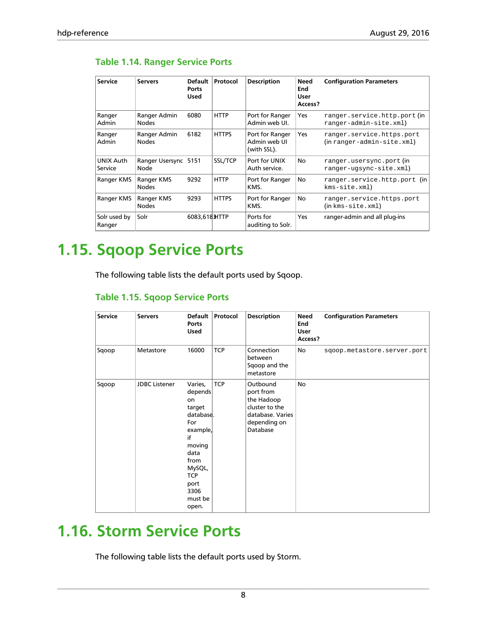#### <span id="page-11-2"></span>**Table 1.14. Ranger Service Ports**

| <b>Service</b>         | <b>Servers</b>               | Default<br>Ports<br><b>Used</b> | Protocol     | <b>Description</b>                             | <b>Need</b><br>End<br>User<br>Access? | <b>Configuration Parameters</b>                                           |
|------------------------|------------------------------|---------------------------------|--------------|------------------------------------------------|---------------------------------------|---------------------------------------------------------------------------|
| Ranger<br>Admin        | Ranger Admin<br><b>Nodes</b> | 6080                            | <b>HTTP</b>  | Port for Ranger<br>Admin web UI.               | Yes                                   | ranger.service.http.port(in<br>ranger-admin-site.xml)                     |
| Ranger<br>Admin        | Ranger Admin<br><b>Nodes</b> | 6182                            | <b>HTTPS</b> | Port for Ranger<br>Admin web UI<br>(with SSL). | <b>Yes</b>                            | ranger.service.https.port<br>$(in range r$ -admin-site.xml $)$            |
| UNIX Auth<br>Service   | Ranger Usersync<br>Node      | 5151                            | SSL/TCP      | Port for UNIX<br>Auth service.                 | <b>No</b>                             | ranger.usersync.port(in<br>ranger-ugsync-site.xml)                        |
| Ranger KMS             | Ranger KMS<br><b>Nodes</b>   | 9292                            | <b>HTTP</b>  | Port for Ranger<br>KMS.                        | <b>No</b>                             | ranger.service.http.port (in<br>kms-site.xml)                             |
| Ranger KMS             | Ranger KMS<br><b>Nodes</b>   | 9293                            | <b>HTTPS</b> | Port for Ranger<br>KMS.                        | No                                    | ranger.service.https.port<br>$(in \, km s \, - s \, it \, e \, . \, xml)$ |
| Solr used by<br>Ranger | Solr                         | 6083,6183HTTP                   |              | Ports for<br>auditing to Solr.                 | <b>Yes</b>                            | ranger-admin and all plug-ins                                             |

### <span id="page-11-0"></span>**1.15. Sqoop Service Ports**

The following table lists the default ports used by Sqoop.

#### <span id="page-11-3"></span>**Table 1.15. Sqoop Service Ports**

| Service | <b>Servers</b>       | <b>Default</b><br>Ports<br><b>Used</b>                                                                                                                         | Protocol   | <b>Description</b>                                                                                    | Need<br>End<br>User<br>Access? | <b>Configuration Parameters</b> |
|---------|----------------------|----------------------------------------------------------------------------------------------------------------------------------------------------------------|------------|-------------------------------------------------------------------------------------------------------|--------------------------------|---------------------------------|
| Sqoop   | Metastore            | 16000                                                                                                                                                          | <b>TCP</b> | Connection<br>between<br>Sqoop and the<br>metastore                                                   | No                             | sqoop.metastore.server.port     |
| Sqoop   | <b>JDBC</b> Listener | Varies,<br>depends<br>on<br>target<br>database.<br>For<br>example,<br>if<br>moving<br>data<br>from<br>MySQL,<br><b>TCP</b><br>port<br>3306<br>must be<br>open. | <b>TCP</b> | Outbound<br>port from<br>the Hadoop<br>cluster to the<br>database. Varies<br>depending on<br>Database | No                             |                                 |

### <span id="page-11-1"></span>**1.16. Storm Service Ports**

The following table lists the default ports used by Storm.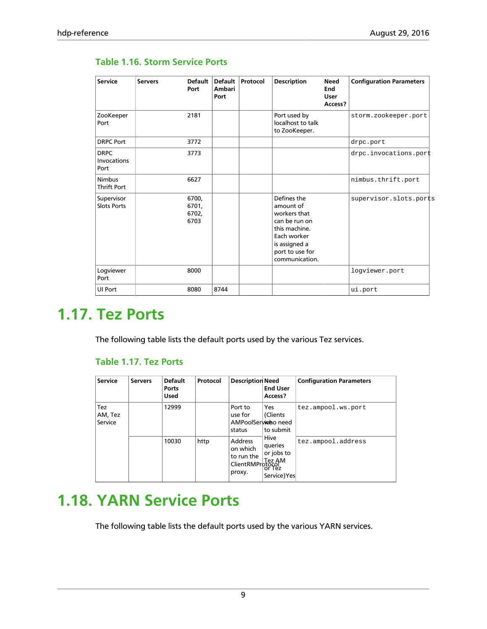| <b>Service</b>                      | <b>Servers</b> | <b>Default</b><br>Port          | <b>Default</b><br>Ambari<br>Port | Protocol | <b>Description</b>                                                                                                                              | <b>Need</b><br>End<br><b>User</b><br>Access? | <b>Configuration Parameters</b> |
|-------------------------------------|----------------|---------------------------------|----------------------------------|----------|-------------------------------------------------------------------------------------------------------------------------------------------------|----------------------------------------------|---------------------------------|
| ZooKeeper<br>Port                   |                | 2181                            |                                  |          | Port used by<br>localhost to talk<br>to ZooKeeper.                                                                                              |                                              | storm.zookeeper.port            |
| <b>DRPC Port</b>                    |                | 3772                            |                                  |          |                                                                                                                                                 |                                              | drpc.port                       |
| <b>DRPC</b><br>Invocations<br>Port  |                | 3773                            |                                  |          |                                                                                                                                                 |                                              | drpc.invocations.port           |
| <b>Nimbus</b><br><b>Thrift Port</b> |                | 6627                            |                                  |          |                                                                                                                                                 |                                              | nimbus.thrift.port              |
| Supervisor<br><b>Slots Ports</b>    |                | 6700,<br>6701,<br>6702,<br>6703 |                                  |          | Defines the<br>amount of<br>workers that<br>can be run on<br>this machine.<br>Each worker<br>is assigned a<br>port to use for<br>communication. |                                              | supervisor.slots.ports          |
| Logviewer<br>Port                   |                | 8000                            |                                  |          |                                                                                                                                                 |                                              | loqviewer.port                  |
| UI Port                             |                | 8080                            | 8744                             |          |                                                                                                                                                 |                                              | ui.port                         |

#### <span id="page-12-2"></span>**Table 1.16. Storm Service Ports**

### <span id="page-12-0"></span>**1.17. Tez Ports**

<span id="page-12-3"></span>The following table lists the default ports used by the various Tez services.

#### **Table 1.17. Tez Ports**

| <b>Service</b>            | <b>Servers</b> | <b>Default</b><br>Ports<br><b>Used</b> | Protocol | <b>Description Need</b>                                                | <b>End User</b><br>Access?                                                    | <b>Configuration Parameters</b> |
|---------------------------|----------------|----------------------------------------|----------|------------------------------------------------------------------------|-------------------------------------------------------------------------------|---------------------------------|
| Tez<br>AM, Tez<br>Service |                | 12999                                  |          | Port to<br>use for<br>AMPoolSerwideo need<br>status                    | Yes<br>(Clients<br>to submit<br>Hive<br>queries<br>or jobs to<br>Service) Yes | tez.ampool.ws.port              |
|                           |                | 10030                                  | http     | <b>Address</b><br>on which<br>to run the<br>ClientRMProtocol<br>proxy. |                                                                               | tez.ampool.address              |

### <span id="page-12-1"></span>**1.18. YARN Service Ports**

The following table lists the default ports used by the various YARN services.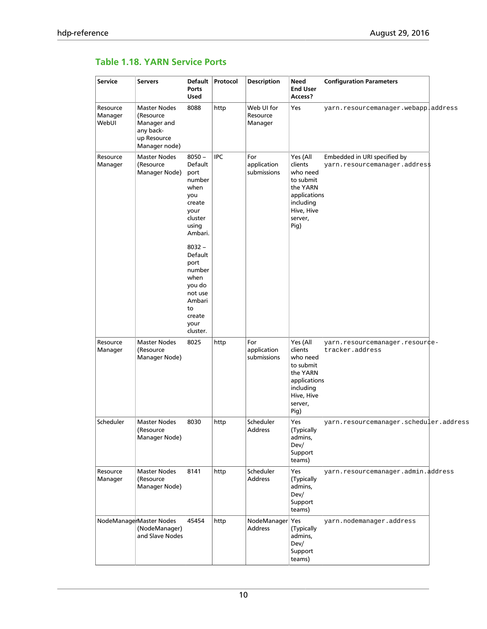#### <span id="page-13-0"></span>**Table 1.18. YARN Service Ports**

| <b>Service</b>               | <b>Servers</b>                                                                               | Default<br><b>Ports</b><br><b>Used</b>                                                                                                                                                                                    | Protocol   | <b>Description</b>                | Need<br><b>End User</b><br>Access?                                                                                     | <b>Configuration Parameters</b>                               |  |
|------------------------------|----------------------------------------------------------------------------------------------|---------------------------------------------------------------------------------------------------------------------------------------------------------------------------------------------------------------------------|------------|-----------------------------------|------------------------------------------------------------------------------------------------------------------------|---------------------------------------------------------------|--|
| Resource<br>Manager<br>WebUI | <b>Master Nodes</b><br>(Resource<br>Manager and<br>any back-<br>up Resource<br>Manager node) | 8088                                                                                                                                                                                                                      | http       | Web UI for<br>Resource<br>Manager | Yes                                                                                                                    | yarn.resourcemanager.webapp address                           |  |
| Resource<br>Manager          | <b>Master Nodes</b><br>(Resource<br>Manager Node)                                            | $8050 -$<br>Default<br>port<br>number<br>when<br>you<br>create<br>your<br>cluster<br>using<br>Ambari.<br>$8032 -$<br>Default<br>port<br>number<br>when<br>you do<br>not use<br>Ambari<br>to<br>create<br>your<br>cluster. | <b>IPC</b> | For<br>application<br>submissions | Yes (All<br>clients<br>who need<br>to submit<br>the YARN<br>applications<br>including<br>Hive, Hive<br>server,<br>Pig) | Embedded in URI specified by<br>yarn.resourcemanager.addres\$ |  |
| Resource<br>Manager          | <b>Master Nodes</b><br>(Resource<br>Manager Node)                                            | 8025                                                                                                                                                                                                                      | http       | For<br>application<br>submissions | Yes (All<br>clients<br>who need<br>to submit<br>the YARN<br>applications<br>including<br>Hive, Hive<br>server,<br>Pig) | yarn.resourcemanager.resour¢e-<br>tracker.address             |  |
| Scheduler                    | <b>Master Nodes</b><br>(Resource<br>Manager Node)                                            | 8030                                                                                                                                                                                                                      | http       | Scheduler<br>Address              | Yes<br>(Typically<br>admins,<br>Dev/<br>Support<br>teams)                                                              | yarn.resourcemanager.scheduler.address                        |  |
| Resource<br>Manager          | <b>Master Nodes</b><br>(Resource<br>Manager Node)                                            | 8141                                                                                                                                                                                                                      | http       | Scheduler<br><b>Address</b>       | Yes<br>(Typically<br>admins,<br>Dev/<br>Support<br>teams)                                                              | yarn.resourcemanager.admin.address                            |  |
|                              | NodeManagerMaster Nodes<br>(NodeManager)<br>and Slave Nodes                                  | 45454                                                                                                                                                                                                                     | http       | NodeManager Yes<br><b>Address</b> | (Typically<br>admins,<br>Dev/<br>Support<br>teams)                                                                     | yarn.nodemanager.address                                      |  |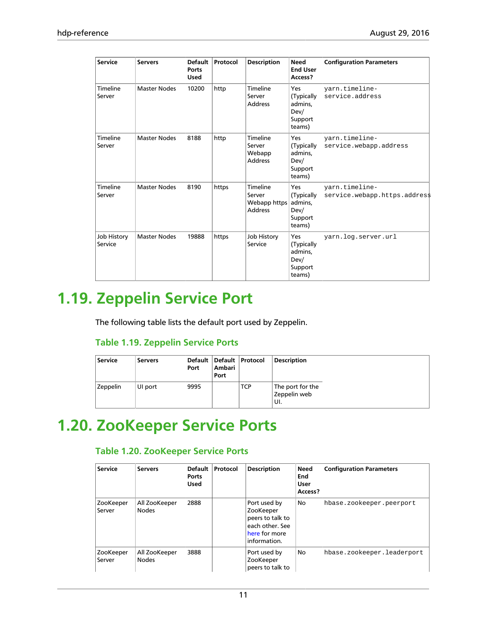| <b>Service</b>         | <b>Servers</b>      | <b>Default</b><br>Ports<br><b>Used</b> | Protocol | <b>Description</b>                                   | <b>Need</b><br><b>End User</b><br>Access?                 | <b>Configuration Parameters</b>                 |
|------------------------|---------------------|----------------------------------------|----------|------------------------------------------------------|-----------------------------------------------------------|-------------------------------------------------|
| Timeline<br>Server     | <b>Master Nodes</b> | 10200                                  | http     | Timeline<br>Server<br><b>Address</b>                 | Yes<br>(Typically<br>admins,<br>Dev/<br>Support<br>teams) | yarn.timeline-<br>service.address               |
| Timeline<br>Server     | <b>Master Nodes</b> | 8188                                   | http     | Timeline<br>Server<br>Webapp<br><b>Address</b>       | Yes<br>(Typically<br>admins,<br>Dev/<br>Support<br>teams) | yarn.timeline-<br>service.webapp.address        |
| Timeline<br>Server     | <b>Master Nodes</b> | 8190                                   | https    | Timeline<br>Server<br>Webapp https<br><b>Address</b> | Yes<br>(Typically<br>admins,<br>Dev/<br>Support<br>teams) | yarn.timeline-<br>service.webapp.https.addres\$ |
| Job History<br>Service | <b>Master Nodes</b> | 19888                                  | https    | Job History<br>Service                               | Yes<br>(Typically<br>admins,<br>Dev/<br>Support<br>teams) | yarn.log.server.url                             |

## <span id="page-14-0"></span>**1.19. Zeppelin Service Port**

The following table lists the default port used by Zeppelin.

#### <span id="page-14-2"></span>**Table 1.19. Zeppelin Service Ports**

| <b>Service</b> | <b>Servers</b> | Port | Ambari<br>Port | Default   Default   Protocol | <b>Description</b>                       |
|----------------|----------------|------|----------------|------------------------------|------------------------------------------|
| Zeppelin       | UI port        | 9995 |                | TCP                          | The port for the<br>Zeppelin web<br>±UI. |

### <span id="page-14-3"></span><span id="page-14-1"></span>**1.20. ZooKeeper Service Ports**

#### **Table 1.20. ZooKeeper Service Ports**

| <b>Service</b>      | <b>Servers</b>                | <b>Default</b><br>Ports<br><b>Used</b> | Protocol | <b>Description</b>                                                                                | Need<br>End<br><b>User</b><br>Access? | <b>Configuration Parameters</b> |
|---------------------|-------------------------------|----------------------------------------|----------|---------------------------------------------------------------------------------------------------|---------------------------------------|---------------------------------|
| ZooKeeper<br>Server | All ZooKeeper<br><b>Nodes</b> | 2888                                   |          | Port used by<br>ZooKeeper<br>peers to talk to<br>each other. See<br>here for more<br>information. | No                                    | hbase.zookeeper.peerport        |
| ZooKeeper<br>Server | All ZooKeeper<br><b>Nodes</b> | 3888                                   |          | Port used by<br>ZooKeeper<br>peers to talk to                                                     | No                                    | hbase.zookeeper.leaderport      |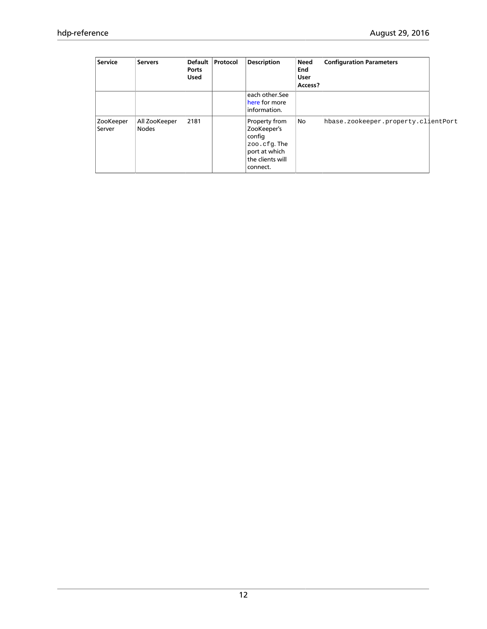| <b>Service</b>      | <b>Servers</b>                | <b>Default</b><br><b>Ports</b><br><b>Used</b> | Protocol | <b>Description</b>                                                                                     | <b>Need</b><br>End<br><b>User</b><br>Access? | <b>Configuration Parameters</b>     |  |
|---------------------|-------------------------------|-----------------------------------------------|----------|--------------------------------------------------------------------------------------------------------|----------------------------------------------|-------------------------------------|--|
|                     |                               |                                               |          | each other.See<br>here for more<br>information.                                                        |                                              |                                     |  |
| ZooKeeper<br>Server | All ZooKeeper<br><b>Nodes</b> | 2181                                          |          | Property from<br>ZooKeeper's<br>config<br>zoo.cfg.The<br>port at which<br>the clients will<br>connect. | No                                           | hbase.zookeeper.property.clientPort |  |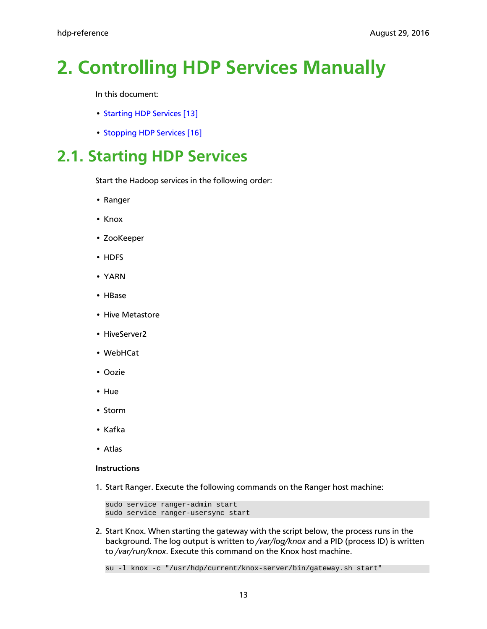# <span id="page-16-0"></span>**2. Controlling HDP Services Manually**

In this document:

- [Starting HDP Services \[13\]](#page-16-1)
- [Stopping HDP Services \[16\]](#page-19-0)

### <span id="page-16-1"></span>**2.1. Starting HDP Services**

Start the Hadoop services in the following order:

- Ranger
- Knox
- ZooKeeper
- HDFS
- YARN
- HBase
- Hive Metastore
- HiveServer2
- WebHCat
- Oozie
- Hue
- Storm
- Kafka
- Atlas

#### **Instructions**

1. Start Ranger. Execute the following commands on the Ranger host machine:

```
sudo service ranger-admin start
sudo service ranger-usersync start
```
2. Start Knox. When starting the gateway with the script below, the process runs in the background. The log output is written to */var/log/knox* and a PID (process ID) is written to */var/run/knox*. Execute this command on the Knox host machine.

su -l knox -c "/usr/hdp/current/knox-server/bin/gateway.sh start"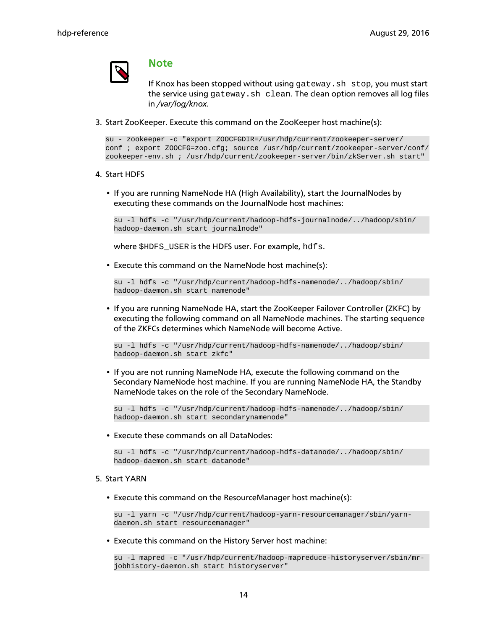### **Note**

If Knox has been stopped without using gateway.sh stop, you must start the service using gateway.sh clean. The clean option removes all log files in */var/log/knox.*

3. Start ZooKeeper. Execute this command on the ZooKeeper host machine(s):

```
su - zookeeper -c "export ZOOCFGDIR=/usr/hdp/current/zookeeper-server/
conf ; export ZOOCFG=zoo.cfg; source /usr/hdp/current/zookeeper-server/conf/
zookeeper-env.sh ; /usr/hdp/current/zookeeper-server/bin/zkServer.sh start"
```
- 4. Start HDFS
	- If you are running NameNode HA (High Availability), start the JournalNodes by executing these commands on the JournalNode host machines:

su -l hdfs -c "/usr/hdp/current/hadoop-hdfs-journalnode/../hadoop/sbin/ hadoop-daemon.sh start journalnode"

where \$HDFS\_USER is the HDFS user. For example, hdfs.

• Execute this command on the NameNode host machine(s):

```
su -l hdfs -c "/usr/hdp/current/hadoop-hdfs-namenode/../hadoop/sbin/
hadoop-daemon.sh start namenode"
```
• If you are running NameNode HA, start the ZooKeeper Failover Controller (ZKFC) by executing the following command on all NameNode machines. The starting sequence of the ZKFCs determines which NameNode will become Active.

```
su -l hdfs -c "/usr/hdp/current/hadoop-hdfs-namenode/../hadoop/sbin/
hadoop-daemon.sh start zkfc"
```
• If you are not running NameNode HA, execute the following command on the Secondary NameNode host machine. If you are running NameNode HA, the Standby NameNode takes on the role of the Secondary NameNode.

```
su -l hdfs -c "/usr/hdp/current/hadoop-hdfs-namenode/../hadoop/sbin/
hadoop-daemon.sh start secondarynamenode"
```
• Execute these commands on all DataNodes:

```
su -l hdfs -c "/usr/hdp/current/hadoop-hdfs-datanode/../hadoop/sbin/
hadoop-daemon.sh start datanode"
```
#### 5. Start YARN

• Execute this command on the ResourceManager host machine(s):

```
su -l yarn -c "/usr/hdp/current/hadoop-yarn-resourcemanager/sbin/yarn-
daemon.sh start resourcemanager"
```
• Execute this command on the History Server host machine:

```
su -l mapred -c "/usr/hdp/current/hadoop-mapreduce-historyserver/sbin/mr-
jobhistory-daemon.sh start historyserver"
```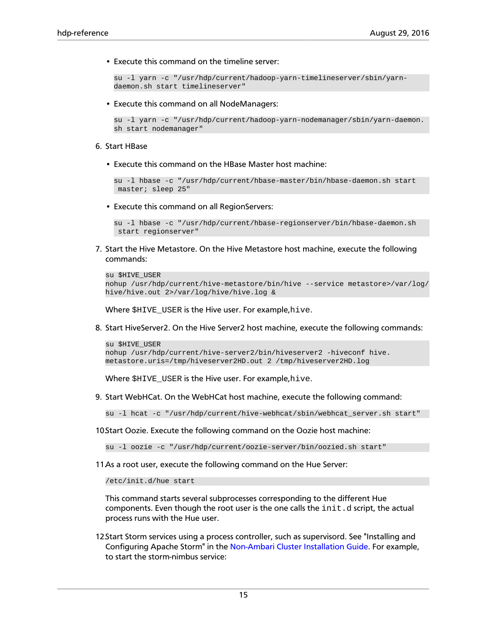• Execute this command on the timeline server:

```
su -l yarn -c "/usr/hdp/current/hadoop-yarn-timelineserver/sbin/yarn-
daemon.sh start timelineserver"
```
• Execute this command on all NodeManagers:

```
su -l yarn -c "/usr/hdp/current/hadoop-yarn-nodemanager/sbin/yarn-daemon.
sh start nodemanager"
```
#### 6. Start HBase

• Execute this command on the HBase Master host machine:

```
su -l hbase -c "/usr/hdp/current/hbase-master/bin/hbase-daemon.sh start
 master; sleep 25"
```
• Execute this command on all RegionServers:

```
su -l hbase -c "/usr/hdp/current/hbase-regionserver/bin/hbase-daemon.sh
 start regionserver"
```
7. Start the Hive Metastore. On the Hive Metastore host machine, execute the following commands:

```
su $HIVE_USER 
nohup /usr/hdp/current/hive-metastore/bin/hive --service metastore>/var/log/
hive/hive.out 2>/var/log/hive/hive.log &
```
Where \$HIVE\_USER is the Hive user. For example,hive.

8. Start HiveServer2. On the Hive Server2 host machine, execute the following commands:

```
su $HIVE_USER 
nohup /usr/hdp/current/hive-server2/bin/hiveserver2 -hiveconf hive.
metastore.uris=/tmp/hiveserver2HD.out 2 /tmp/hiveserver2HD.log
```
Where \$HIVE\_USER is the Hive user. For example,hive.

9. Start WebHCat. On the WebHCat host machine, execute the following command:

su -l hcat -c "/usr/hdp/current/hive-webhcat/sbin/webhcat\_server.sh start"

10.Start Oozie. Execute the following command on the Oozie host machine:

su -l oozie -c "/usr/hdp/current/oozie-server/bin/oozied.sh start"

11.As a root user, execute the following command on the Hue Server:

/etc/init.d/hue start

This command starts several subprocesses corresponding to the different Hue components. Even though the root user is the one calls the  $init.d$  script, the actual process runs with the Hue user.

12.Start Storm services using a process controller, such as supervisord. See "Installing and Configuring Apache Storm" in the [Non-Ambari Cluster Installation Guide.](https://docs.hortonworks.com/HDPDocuments/HDP2/HDP-2.5.0/bk_command-line-installation/content/ch_getting_ready_chapter.html) For example, to start the storm-nimbus service: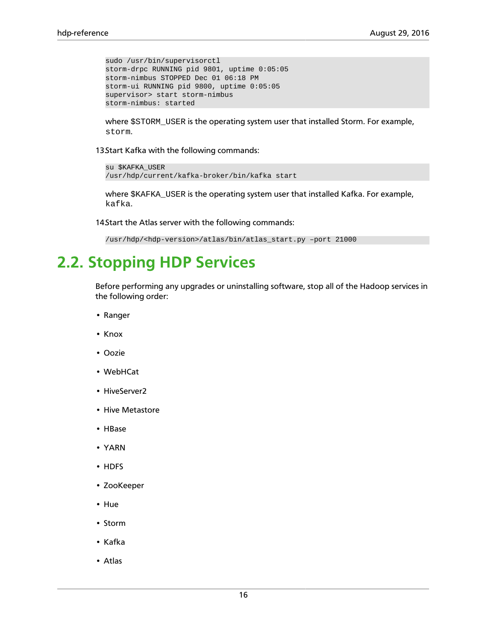```
sudo /usr/bin/supervisorctl 
storm-drpc RUNNING pid 9801, uptime 0:05:05
storm-nimbus STOPPED Dec 01 06:18 PM
storm-ui RUNNING pid 9800, uptime 0:05:05
supervisor> start storm-nimbus
storm-nimbus: started
```
where \$STORM\_USER is the operating system user that installed Storm. For example, storm.

13 Start Kafka with the following commands:

```
su $KAFKA_USER 
/usr/hdp/current/kafka-broker/bin/kafka start
```
where \$KAFKA\_USER is the operating system user that installed Kafka. For example, kafka.

14 Start the Atlas server with the following commands:

```
/usr/hdp/<hdp-version>/atlas/bin/atlas_start.py –port 21000
```
### <span id="page-19-0"></span>**2.2. Stopping HDP Services**

Before performing any upgrades or uninstalling software, stop all of the Hadoop services in the following order:

- Ranger
- Knox
- Oozie
- WebHCat
- HiveServer2
- Hive Metastore
- HBase
- YARN
- HDFS
- ZooKeeper
- Hue
- Storm
- Kafka
- Atlas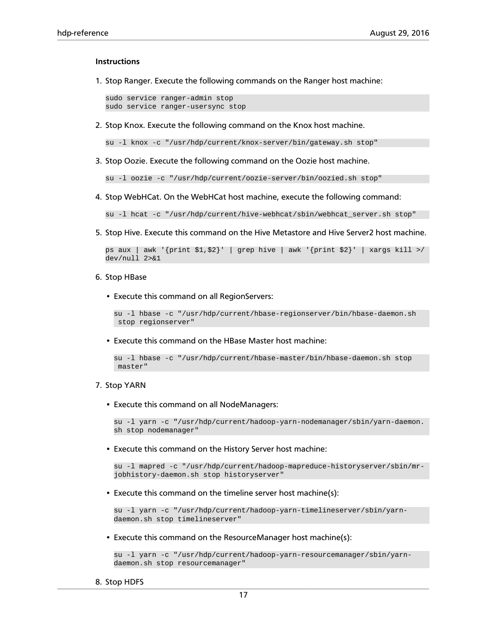#### **Instructions**

1. Stop Ranger. Execute the following commands on the Ranger host machine:

sudo service ranger-admin stop sudo service ranger-usersync stop

2. Stop Knox. Execute the following command on the Knox host machine.

su -l knox -c "/usr/hdp/current/knox-server/bin/gateway.sh stop"

3. Stop Oozie. Execute the following command on the Oozie host machine.

su -l oozie -c "/usr/hdp/current/oozie-server/bin/oozied.sh stop"

4. Stop WebHCat. On the WebHCat host machine, execute the following command:

su -l hcat -c "/usr/hdp/current/hive-webhcat/sbin/webhcat\_server.sh stop"

5. Stop Hive. Execute this command on the Hive Metastore and Hive Server2 host machine.

```
ps aux | awk '{print $1,$2}' | grep hive | awk '{print $2}' | xargs kill >/
dev/null 2>&1
```
#### 6. Stop HBase

• Execute this command on all RegionServers:

su -l hbase -c "/usr/hdp/current/hbase-regionserver/bin/hbase-daemon.sh stop regionserver"

• Execute this command on the HBase Master host machine:

```
su -l hbase -c "/usr/hdp/current/hbase-master/bin/hbase-daemon.sh stop
 master"
```
#### 7. Stop YARN

• Execute this command on all NodeManagers:

```
su -l yarn -c "/usr/hdp/current/hadoop-yarn-nodemanager/sbin/yarn-daemon.
sh stop nodemanager"
```
• Execute this command on the History Server host machine:

```
su -l mapred -c "/usr/hdp/current/hadoop-mapreduce-historyserver/sbin/mr-
jobhistory-daemon.sh stop historyserver"
```
• Execute this command on the timeline server host machine(s):

```
su -l yarn -c "/usr/hdp/current/hadoop-yarn-timelineserver/sbin/yarn-
daemon.sh stop timelineserver"
```
• Execute this command on the ResourceManager host machine(s):

```
su -l yarn -c "/usr/hdp/current/hadoop-yarn-resourcemanager/sbin/yarn-
daemon.sh stop resourcemanager"
```
8. Stop HDFS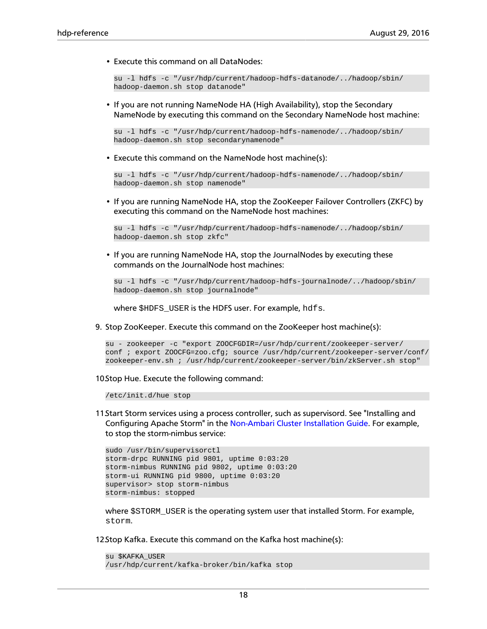• Execute this command on all DataNodes:

```
su -l hdfs -c "/usr/hdp/current/hadoop-hdfs-datanode/../hadoop/sbin/
hadoop-daemon.sh stop datanode"
```
• If you are not running NameNode HA (High Availability), stop the Secondary NameNode by executing this command on the Secondary NameNode host machine:

```
su -l hdfs -c "/usr/hdp/current/hadoop-hdfs-namenode/../hadoop/sbin/
hadoop-daemon.sh stop secondarynamenode"
```
• Execute this command on the NameNode host machine(s):

```
su -l hdfs -c "/usr/hdp/current/hadoop-hdfs-namenode/../hadoop/sbin/
hadoop-daemon.sh stop namenode"
```
• If you are running NameNode HA, stop the ZooKeeper Failover Controllers (ZKFC) by executing this command on the NameNode host machines:

```
su -l hdfs -c "/usr/hdp/current/hadoop-hdfs-namenode/../hadoop/sbin/
hadoop-daemon.sh stop zkfc"
```
• If you are running NameNode HA, stop the JournalNodes by executing these commands on the JournalNode host machines:

```
su -l hdfs -c "/usr/hdp/current/hadoop-hdfs-journalnode/../hadoop/sbin/
hadoop-daemon.sh stop journalnode"
```
where \$HDFS\_USER is the HDFS user. For example, hdfs.

9. Stop ZooKeeper. Execute this command on the ZooKeeper host machine(s):

```
su - zookeeper -c "export ZOOCFGDIR=/usr/hdp/current/zookeeper-server/
conf ; export ZOOCFG=zoo.cfg; source /usr/hdp/current/zookeeper-server/conf/
zookeeper-env.sh ; /usr/hdp/current/zookeeper-server/bin/zkServer.sh stop"
```
10.Stop Hue. Execute the following command:

/etc/init.d/hue stop

11.Start Storm services using a process controller, such as supervisord. See "Installing and Configuring Apache Storm" in the [Non-Ambari Cluster Installation Guide.](https://docs.hortonworks.com/HDPDocuments/HDP2/HDP-2.5.0/bk_command-line-installation/content/ch_getting_ready_chapter.html) For example, to stop the storm-nimbus service:

```
sudo /usr/bin/supervisorctl
storm-drpc RUNNING pid 9801, uptime 0:03:20
storm-nimbus RUNNING pid 9802, uptime 0:03:20
storm-ui RUNNING pid 9800, uptime 0:03:20
supervisor> stop storm-nimbus
storm-nimbus: stopped
```
where  $$STORM_JUSER$  is the operating system user that installed Storm. For example, storm.

12.Stop Kafka. Execute this command on the Kafka host machine(s):

```
su $KAFKA_USER
/usr/hdp/current/kafka-broker/bin/kafka stop
```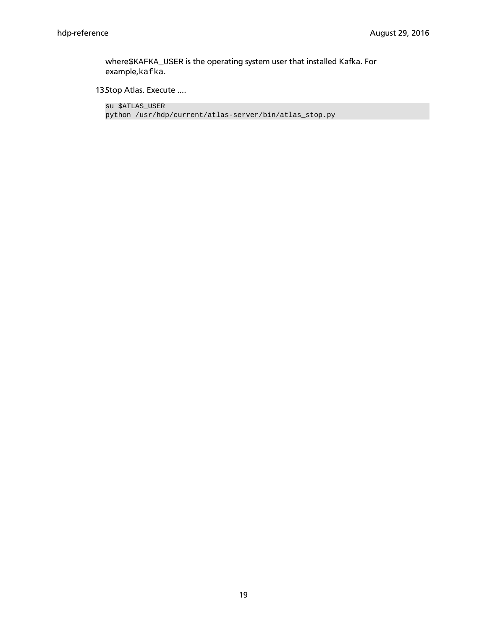where\$KAFKA\_USER is the operating system user that installed Kafka. For example,kafka.

13Stop Atlas. Execute ....

su \$ATLAS\_USER python /usr/hdp/current/atlas-server/bin/atlas\_stop.py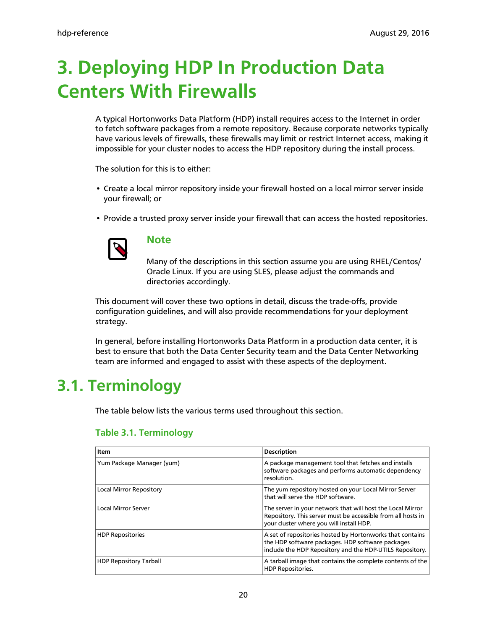# <span id="page-23-0"></span>**3. Deploying HDP In Production Data Centers With Firewalls**

A typical Hortonworks Data Platform (HDP) install requires access to the Internet in order to fetch software packages from a remote repository. Because corporate networks typically have various levels of firewalls, these firewalls may limit or restrict Internet access, making it impossible for your cluster nodes to access the HDP repository during the install process.

The solution for this is to either:

- Create a local mirror repository inside your firewall hosted on a local mirror server inside your firewall; or
- Provide a trusted proxy server inside your firewall that can access the hosted repositories.



#### **Note**

Many of the descriptions in this section assume you are using RHEL/Centos/ Oracle Linux. If you are using SLES, please adjust the commands and directories accordingly.

This document will cover these two options in detail, discuss the trade-offs, provide configuration guidelines, and will also provide recommendations for your deployment strategy.

In general, before installing Hortonworks Data Platform in a production data center, it is best to ensure that both the Data Center Security team and the Data Center Networking team are informed and engaged to assist with these aspects of the deployment.

### <span id="page-23-2"></span><span id="page-23-1"></span>**3.1. Terminology**

The table below lists the various terms used throughout this section.

| Item                           | <b>Description</b>                                                                                                                                                        |
|--------------------------------|---------------------------------------------------------------------------------------------------------------------------------------------------------------------------|
| Yum Package Manager (yum)      | A package management tool that fetches and installs<br>software packages and performs automatic dependency<br>resolution.                                                 |
| <b>Local Mirror Repository</b> | The yum repository hosted on your Local Mirror Server<br>that will serve the HDP software.                                                                                |
| <b>Local Mirror Server</b>     | The server in your network that will host the Local Mirror<br>Repository. This server must be accessible from all hosts in<br>your cluster where you will install HDP.    |
| <b>HDP Repositories</b>        | A set of repositories hosted by Hortonworks that contains<br>the HDP software packages. HDP software packages<br>include the HDP Repository and the HDP-UTILS Repository. |
| <b>HDP Repository Tarball</b>  | A tarball image that contains the complete contents of the<br><b>HDP Repositories.</b>                                                                                    |

#### **Table 3.1. Terminology**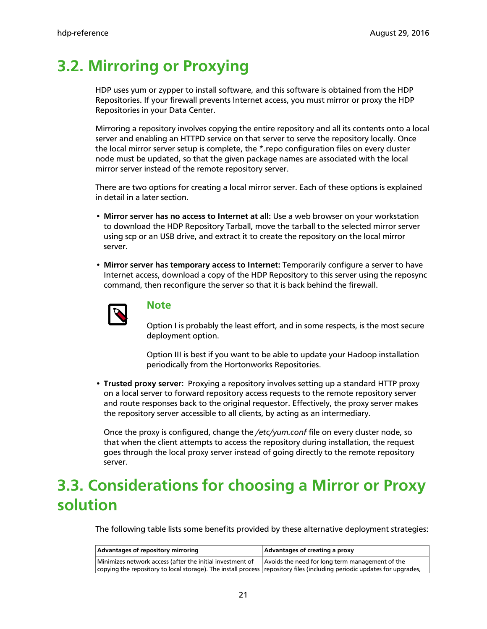### <span id="page-24-0"></span>**3.2. Mirroring or Proxying**

HDP uses yum or zypper to install software, and this software is obtained from the HDP Repositories. If your firewall prevents Internet access, you must mirror or proxy the HDP Repositories in your Data Center.

Mirroring a repository involves copying the entire repository and all its contents onto a local server and enabling an HTTPD service on that server to serve the repository locally. Once the local mirror server setup is complete, the \*.repo configuration files on every cluster node must be updated, so that the given package names are associated with the local mirror server instead of the remote repository server.

There are two options for creating a local mirror server. Each of these options is explained in detail in a later section.

- **Mirror server has no access to Internet at all:** Use a web browser on your workstation to download the HDP Repository Tarball, move the tarball to the selected mirror server using scp or an USB drive, and extract it to create the repository on the local mirror server.
- **Mirror server has temporary access to Internet:** Temporarily configure a server to have Internet access, download a copy of the HDP Repository to this server using the reposync command, then reconfigure the server so that it is back behind the firewall.



#### **Note**

Option I is probably the least effort, and in some respects, is the most secure deployment option.

Option III is best if you want to be able to update your Hadoop installation periodically from the Hortonworks Repositories.

• **Trusted proxy server:** Proxying a repository involves setting up a standard HTTP proxy on a local server to forward repository access requests to the remote repository server and route responses back to the original requestor. Effectively, the proxy server makes the repository server accessible to all clients, by acting as an intermediary.

Once the proxy is configured, change the */etc/yum.conf* file on every cluster node, so that when the client attempts to access the repository during installation, the request goes through the local proxy server instead of going directly to the remote repository server.

### <span id="page-24-1"></span>**3.3. Considerations for choosing a Mirror or Proxy solution**

The following table lists some benefits provided by these alternative deployment strategies:

| Advantages of repository mirroring                                                                                                                                                    | Advantages of creating a proxy                  |
|---------------------------------------------------------------------------------------------------------------------------------------------------------------------------------------|-------------------------------------------------|
| Minimizes network access (after the initial investment of<br>copying the repository to local storage). The install process repository files (including periodic updates for upgrades, | Avoids the need for long term management of the |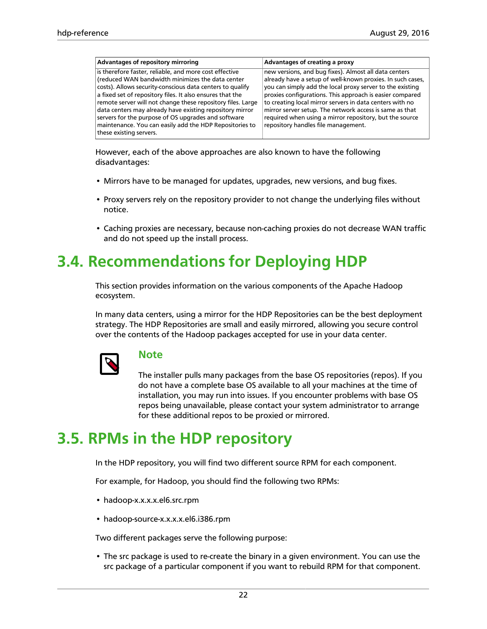| is therefore faster, reliable, and more cost effective<br>new versions, and bug fixes). Almost all data centers<br>(reduced WAN bandwidth minimizes the data center<br>costs). Allows security-conscious data centers to qualify<br>you can simply add the local proxy server to the existing<br>a fixed set of repository files. It also ensures that the         | Advantages of repository mirroring                          | Advantages of creating a proxy                                                                                                                                                     |
|--------------------------------------------------------------------------------------------------------------------------------------------------------------------------------------------------------------------------------------------------------------------------------------------------------------------------------------------------------------------|-------------------------------------------------------------|------------------------------------------------------------------------------------------------------------------------------------------------------------------------------------|
| data centers may already have existing repository mirror<br>mirror server setup. The network access is same as that<br>servers for the purpose of OS upgrades and software<br>required when using a mirror repository, but the source<br>maintenance. You can easily add the HDP Repositories to<br>repository handles file management.<br>these existing servers. | remote server will not change these repository files. Large | already have a setup of well-known proxies. In such cases,<br>proxies configurations. This approach is easier compared<br>to creating local mirror servers in data centers with no |

However, each of the above approaches are also known to have the following disadvantages:

- Mirrors have to be managed for updates, upgrades, new versions, and bug fixes.
- Proxy servers rely on the repository provider to not change the underlying files without notice.
- Caching proxies are necessary, because non-caching proxies do not decrease WAN traffic and do not speed up the install process.

### <span id="page-25-0"></span>**3.4. Recommendations for Deploying HDP**

This section provides information on the various components of the Apache Hadoop ecosystem.

In many data centers, using a mirror for the HDP Repositories can be the best deployment strategy. The HDP Repositories are small and easily mirrored, allowing you secure control over the contents of the Hadoop packages accepted for use in your data center.



#### **Note**

The installer pulls many packages from the base OS repositories (repos). If you do not have a complete base OS available to all your machines at the time of installation, you may run into issues. If you encounter problems with base OS repos being unavailable, please contact your system administrator to arrange for these additional repos to be proxied or mirrored.

### <span id="page-25-1"></span>**3.5. RPMs in the HDP repository**

In the HDP repository, you will find two different source RPM for each component.

For example, for Hadoop, you should find the following two RPMs:

- hadoop-x.x.x.x.el6.src.rpm
- hadoop-source-x.x.x.x.el6.i386.rpm

Two different packages serve the following purpose:

• The src package is used to re-create the binary in a given environment. You can use the src package of a particular component if you want to rebuild RPM for that component.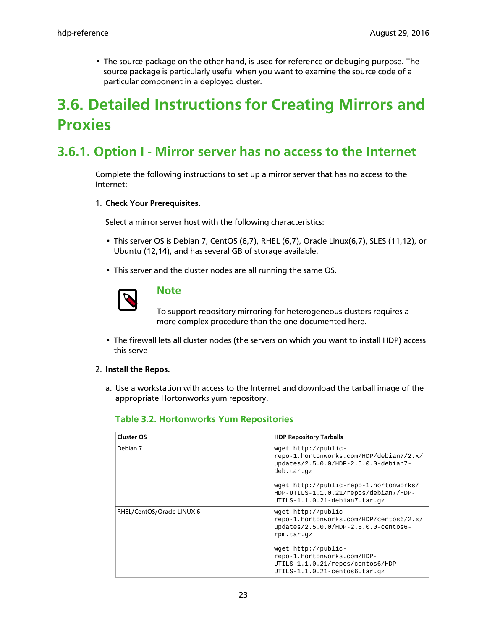• The source package on the other hand, is used for reference or debuging purpose. The source package is particularly useful when you want to examine the source code of a particular component in a deployed cluster.

### <span id="page-26-0"></span>**3.6. Detailed Instructions for Creating Mirrors and Proxies**

### <span id="page-26-1"></span>**3.6.1. Option I - Mirror server has no access to the Internet**

Complete the following instructions to set up a mirror server that has no access to the Internet:

#### 1. **Check Your Prerequisites.**

Select a mirror server host with the following characteristics:

- This server OS is Debian 7, CentOS (6,7), RHEL (6,7), Oracle Linux(6,7), SLES (11,12), or Ubuntu (12,14), and has several GB of storage available.
- This server and the cluster nodes are all running the same OS.



#### **Note**

To support repository mirroring for heterogeneous clusters requires a more complex procedure than the one documented here.

• The firewall lets all cluster nodes (the servers on which you want to install HDP) access this serve

#### 2. **Install the Repos.**

<span id="page-26-2"></span>a. Use a workstation with access to the Internet and download the tarball image of the appropriate Hortonworks yum repository.

#### **Table 3.2. Hortonworks Yum Repositories**

| <b>Cluster OS</b>          | <b>HDP Repository Tarballs</b>                                                                                                                                             |
|----------------------------|----------------------------------------------------------------------------------------------------------------------------------------------------------------------------|
| Debian 7                   | wget http://public-<br>repo-1.hortonworks.com/HDP/debian7/2.x/<br>updates/2.5.0.0/HDP-2.5.0.0-debian7-<br>deb.tar.qz                                                       |
|                            | wget http://public-repo-1.hortonworks/<br>HDP-UTILS-1.1.0.21/repos/debian7/HDP-<br>UTILS-1.1.0.21-debian7.tar.qz                                                           |
| RHEL/CentOS/Oracle LINUX 6 | wget http://public-<br>repo-1.hortonworks.com/HDP/centos6/2.x/<br>updates/2.5.0.0/HDP-2.5.0.0-centos6-<br>rpm.tar.qz<br>wget http://public-<br>repo-1.hortonworks.com/HDP- |
|                            | UTILS-1.1.0.21/repos/centos6/HDP-<br>$UTILS-1.1.0.21-centos6.tar.qz$                                                                                                       |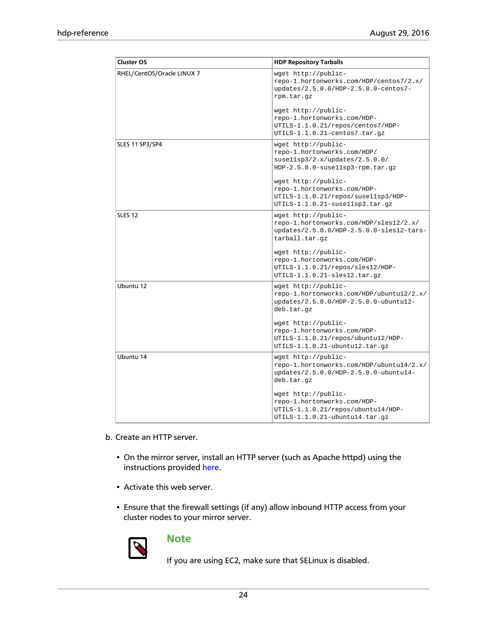| <b>Cluster OS</b>          | <b>HDP Repository Tarballs</b>                                                                                                                                                                                  |
|----------------------------|-----------------------------------------------------------------------------------------------------------------------------------------------------------------------------------------------------------------|
| RHEL/CentOS/Oracle LINUX 7 | wget http://public-<br>repo-1.hortonworks.com/HDP/centos7/2.x/<br>updates/2.5.0.0/HDP-2.5.0.0-centos7-<br>rpm.tar.gz<br>wget http://public-<br>repo-1.hortonworks.com/HDP-<br>UTILS-1.1.0.21/repos/centos7/HDP- |
| SLES 11 SP3/SP4            | UTILS-1.1.0.21-centos7.tar.gz<br>wget http://public-<br>repo-1.hortonworks.com/HDP/<br>susel1sp3/2.x/updates/2.5.0.0/<br>$HDP-2.5.0.0-susel1sp3-rpm.tar.gz$                                                     |
|                            | wget http://public-<br>repo-1.hortonworks.com/HDP-<br>UTILS-1.1.0.21/repos/suse11sp3/HDP-<br>UTILS-1.1.0.21-susellsp3.tar.gz                                                                                    |
| <b>SLES 12</b>             | wget http://public-<br>repo-1.hortonworks.com/HDP/sles12/2.x/<br>updates/2.5.0.0/HDP-2.5.0.0-sles12-tars-<br>tarball.tar.gz                                                                                     |
|                            | wget http://public-<br>repo-1.hortonworks.com/HDP-<br>UTILS-1.1.0.21/repos/sles12/HDP-<br>$UTILS-1.1.0.21-sles12.tar.gz$                                                                                        |
| Ubuntu 12                  | wget http://public-<br>repo-1.hortonworks.com/HDP/ubuntu12/2.x/<br>updates/2.5.0.0/HDP-2.5.0.0-ubuntu12-<br>deb.tar.gz                                                                                          |
|                            | wget http://public-<br>repo-1.hortonworks.com/HDP-<br>UTILS-1.1.0.21/repos/ubuntu12/HDP-<br>$UTILS-1.1.0.21$ -ubuntu12.tar.gz                                                                                   |
| Ubuntu 14                  | wget http://public-<br>repo-1.hortonworks.com/HDP/ubuntu14/2.x/<br>updates/2.5.0.0/HDP-2.5.0.0-ubuntu14-<br>deb.tar.gz                                                                                          |
|                            | wget http://public-<br>repo-1.hortonworks.com/HDP-<br>UTILS-1.1.0.21/repos/ubuntu14/HDP-<br>UTILS-1.1.0.21-ubuntu14.tar.gz                                                                                      |

- b. Create an HTTP server.
	- On the mirror server, install an HTTP server (such as Apache httpd) using the instructions provided [here](http://httpd.apache.org/download.cgi).
	- Activate this web server.
	- Ensure that the firewall settings (if any) allow inbound HTTP access from your cluster nodes to your mirror server.



#### **Note**

If you are using EC2, make sure that SELinux is disabled.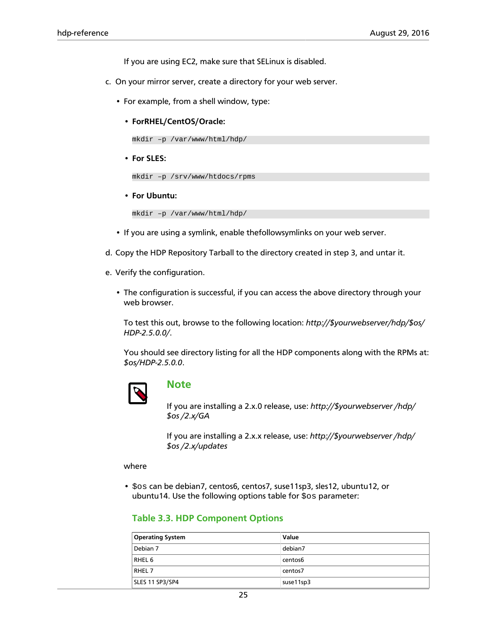If you are using EC2, make sure that SELinux is disabled.

- c. On your mirror server, create a directory for your web server.
	- For example, from a shell window, type:
		- **ForRHEL/CentOS/Oracle:**

mkdir –p /var/www/html/hdp/

• **For SLES:**

```
mkdir –p /srv/www/htdocs/rpms
```
• **For Ubuntu:**

```
mkdir –p /var/www/html/hdp/
```
- If you are using a symlink, enable thefollowsymlinks on your web server.
- d. Copy the HDP Repository Tarball to the directory created in step 3, and untar it.
- e. Verify the configuration.
	- The configuration is successful, if you can access the above directory through your web browser.

To test this out, browse to the following location: *http://\$yourwebserver/hdp/\$os/ HDP-2.5.0.0/*.

You should see directory listing for all the HDP components along with the RPMs at: *\$os/HDP-2.5.0.0*.



#### **Note**

If you are installing a 2.x.0 release, use: *http://\$yourwebserver /hdp/ \$os /2.x/GA*

If you are installing a 2.x.x release, use: *http://\$yourwebserver /hdp/ \$os /2.x/updates*

#### where

<span id="page-28-0"></span>• \$os can be debian7, centos6, centos7, suse11sp3, sles12, ubuntu12, or ubuntu14. Use the following options table for  $\cos$  parameter:

#### **Table 3.3. HDP Component Options**

| <b>Operating System</b> | Value     |
|-------------------------|-----------|
| Debian 7                | debian7   |
| RHEL 6                  | centos6   |
| RHEL <sub>7</sub>       | centos7   |
| SLES 11 SP3/SP4         | suse11sp3 |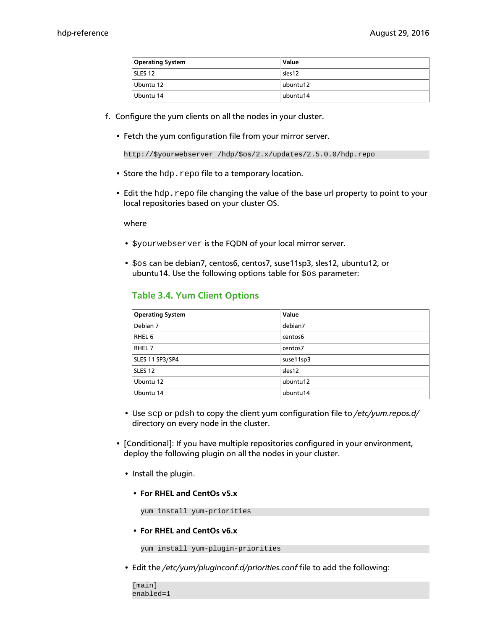| <b>Operating System</b> | Value    |
|-------------------------|----------|
| SLES 12                 | sles12   |
| Ubuntu 12               | ubuntu12 |
| Ubuntu 14               | ubuntu14 |

- f. Configure the yum clients on all the nodes in your cluster.
	- Fetch the yum configuration file from your mirror server.

```
http://$yourwebserver /hdp/$os/2.x/updates/2.5.0.0/hdp.repo
```
- Store the hdp.repo file to a temporary location.
- Edit the hdp.repo file changing the value of the base url property to point to your local repositories based on your cluster OS.

where

- \$yourwebserver is the FQDN of your local mirror server.
- <span id="page-29-0"></span>• \$os can be debian7, centos6, centos7, suse11sp3, sles12, ubuntu12, or ubuntu14. Use the following options table for  $\cos$  parameter:

#### **Table 3.4. Yum Client Options**

| <b>Operating System</b> | Value     |
|-------------------------|-----------|
| Debian 7                | debian7   |
| RHEL <sub>6</sub>       | centos6   |
| RHEL 7                  | centos7   |
| SLES 11 SP3/SP4         | suse11sp3 |
| SLES <sub>12</sub>      | sles12    |
| Ubuntu 12               | ubuntu12  |
| Ubuntu 14               | ubuntu14  |

- Use scp or pdsh to copy the client yum configuration file to */etc/yum.repos.d/* directory on every node in the cluster.
- [Conditional]: If you have multiple repositories configured in your environment, deploy the following plugin on all the nodes in your cluster.
	- Install the plugin.
		- **For RHEL and CentOs v5.x**

yum install yum-priorities

• **For RHEL and CentOs v6.x**

yum install yum-plugin-priorities

• Edit the */etc/yum/pluginconf.d/priorities.conf* file to add the following:

```
[main]
enabled=1
```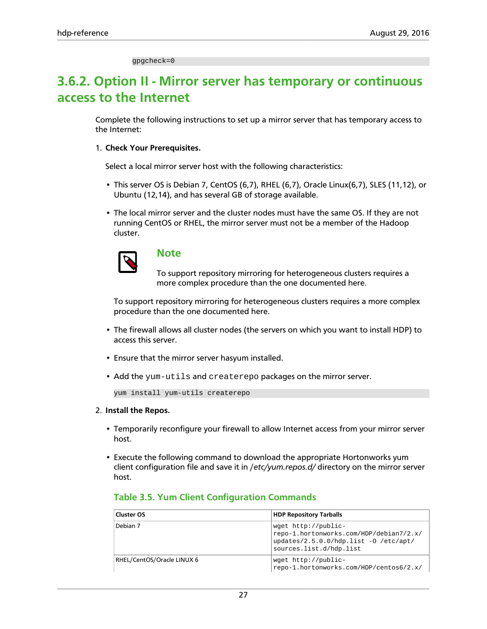gpgcheck=0

### <span id="page-30-0"></span>**3.6.2. Option II - Mirror server has temporary or continuous access to the Internet**

Complete the following instructions to set up a mirror server that has temporary access to the Internet:

#### 1. **Check Your Prerequisites.**

Select a local mirror server host with the following characteristics:

- This server OS is Debian 7, CentOS (6,7), RHEL (6,7), Oracle Linux(6,7), SLES (11,12), or Ubuntu (12,14), and has several GB of storage available.
- The local mirror server and the cluster nodes must have the same OS. If they are not running CentOS or RHEL, the mirror server must not be a member of the Hadoop cluster.



#### **Note**

To support repository mirroring for heterogeneous clusters requires a more complex procedure than the one documented here.

To support repository mirroring for heterogeneous clusters requires a more complex procedure than the one documented here.

- The firewall allows all cluster nodes (the servers on which you want to install HDP) to access this server.
- Ensure that the mirror server hasyum installed.
- Add the yum-utils and createrepo packages on the mirror server.

yum install yum-utils createrepo

#### 2. **Install the Repos.**

- Temporarily reconfigure your firewall to allow Internet access from your mirror server host.
- Execute the following command to download the appropriate Hortonworks yum client configuration file and save it in /*etc/yum.repos.d/* directory on the mirror server host.

| Cluster OS                 | <b>HDP Repository Tarballs</b>                                                                                                       |
|----------------------------|--------------------------------------------------------------------------------------------------------------------------------------|
| Debian 7                   | wget http://public-<br>repo-1.hortonworks.com/HDP/debian7/2.x/<br>$updates/2.5.0.0/hdp.list -0 /etc/apt/$<br>sources.list.d/hdp.list |
| RHEL/CentOS/Oracle LINUX 6 | wget http://public-<br>repo-1.hortonworks.com/HDP/centos6/2.x/                                                                       |

#### <span id="page-30-1"></span>**Table 3.5. Yum Client Configuration Commands**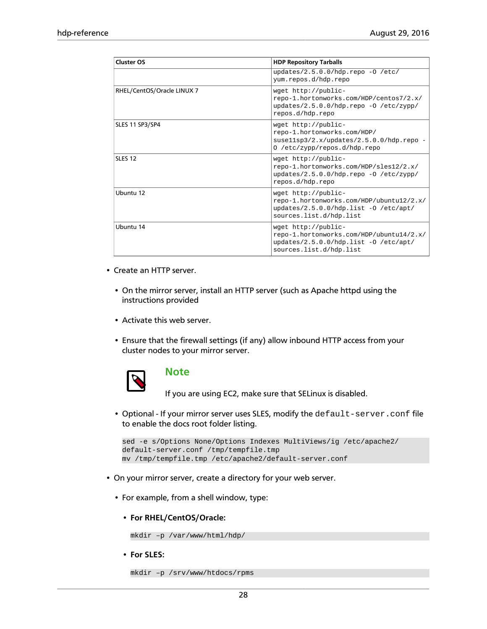| <b>Cluster OS</b>          | <b>HDP Repository Tarballs</b>                                                                                                      |
|----------------------------|-------------------------------------------------------------------------------------------------------------------------------------|
|                            | updates/2.5.0.0/hdp.repo -0 /etc/<br>yum.repos.d/hdp.repo                                                                           |
| RHEL/CentOS/Oracle LINUX 7 | wget http://public-<br>repo-1.hortonworks.com/HDP/centos7/2.x/<br>updates/2.5.0.0/hdp.repo -0 /etc/zypp/<br>repos.d/hdp.repo        |
| SLES 11 SP3/SP4            | wget http://public-<br>repo-1.hortonworks.com/HDP/<br>suse11sp3/2.x/updates/2.5.0.0/hdp.repo<br>0 /etc/zypp/repos.d/hdp.repo        |
| <b>SLES 12</b>             | wget http://public-<br>repo-1.hortonworks.com/HDP/sles12/2.x/<br>updates/2.5.0.0/hdp.repo -0 /etc/zypp/<br>repos.d/hdp.repo         |
| Ubuntu 12                  | wget http://public-<br>repo-1.hortonworks.com/HDP/ubuntu12/2.x/<br>updates/2.5.0.0/hdp.list -0 /etc/apt/<br>sources.list.d/hdp.list |
| Ubuntu 14                  | wget http://public-<br>repo-1.hortonworks.com/HDP/ubuntu14/2.x/<br>updates/2.5.0.0/hdp.list -0 /etc/apt/<br>sources.list.d/hdp.list |

- Create an HTTP server.
	- On the mirror server, install an HTTP server (such as Apache httpd using the instructions provided
	- Activate this web server.
	- Ensure that the firewall settings (if any) allow inbound HTTP access from your cluster nodes to your mirror server.



#### **Note**

If you are using EC2, make sure that SELinux is disabled.

• Optional - If your mirror server uses SLES, modify the default-server.conf file to enable the docs root folder listing.

```
sed -e s/Options None/Options Indexes MultiViews/ig /etc/apache2/
default-server.conf /tmp/tempfile.tmp
mv /tmp/tempfile.tmp /etc/apache2/default-server.conf
```
- On your mirror server, create a directory for your web server.
	- For example, from a shell window, type:
		- **For RHEL/CentOS/Oracle:**

mkdir –p /var/www/html/hdp/

• **For SLES:**

```
mkdir –p /srv/www/htdocs/rpms
```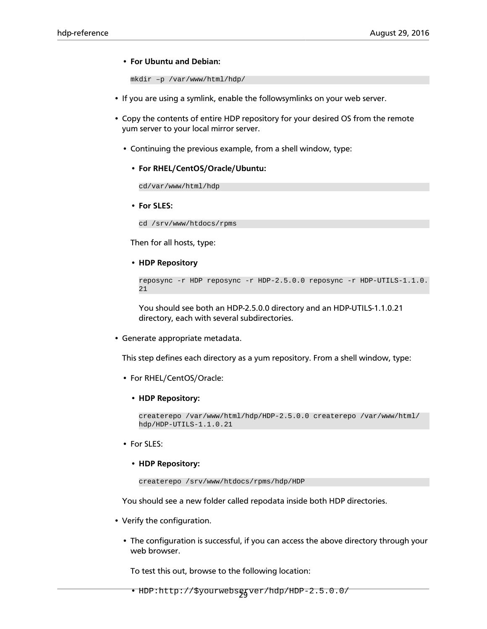#### • **For Ubuntu and Debian:**

```
mkdir –p /var/www/html/hdp/
```
- If you are using a symlink, enable the followsymlinks on your web server.
- Copy the contents of entire HDP repository for your desired OS from the remote yum server to your local mirror server.
	- Continuing the previous example, from a shell window, type:
		- **For RHEL/CentOS/Oracle/Ubuntu:**

cd/var/www/html/hdp

• **For SLES:**

cd /srv/www/htdocs/rpms

Then for all hosts, type:

• **HDP Repository**

```
reposync -r HDP reposync -r HDP-2.5.0.0 reposync -r HDP-UTILS-1.1.0.
21
```
You should see both an HDP-2.5.0.0 directory and an HDP-UTILS-1.1.0.21 directory, each with several subdirectories.

• Generate appropriate metadata.

This step defines each directory as a yum repository. From a shell window, type:

- For RHEL/CentOS/Oracle:
	- **HDP Repository:**

createrepo /var/www/html/hdp/HDP-2.5.0.0 createrepo /var/www/html/ hdp/HDP-UTILS-1.1.0.21

- For SLES:
	- **HDP Repository:**

createrepo /srv/www/htdocs/rpms/hdp/HDP

You should see a new folder called repodata inside both HDP directories.

- Verify the configuration.
	- The configuration is successful, if you can access the above directory through your web browser.

To test this out, browse to the following location: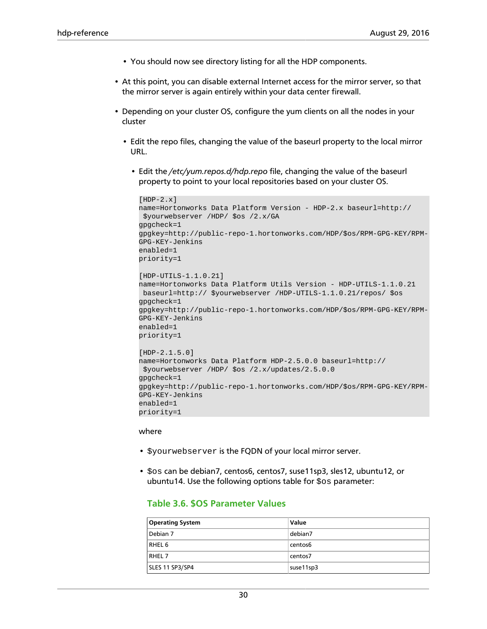- You should now see directory listing for all the HDP components.
- At this point, you can disable external Internet access for the mirror server, so that the mirror server is again entirely within your data center firewall.
- Depending on your cluster OS, configure the yum clients on all the nodes in your cluster
	- Edit the repo files, changing the value of the baseurl property to the local mirror URL.
		- Edit the */etc/yum.repos.d/hdp.repo* file, changing the value of the baseurl property to point to your local repositories based on your cluster OS.

```
[HDP-2.x]name=Hortonworks Data Platform Version - HDP-2.x baseurl=http://
  $yourwebserver /HDP/ $os /2.x/GA 
gpgcheck=1
gpgkey=http://public-repo-1.hortonworks.com/HDP/$os/RPM-GPG-KEY/RPM-
GPG-KEY-Jenkins
enabled=1
priority=1
[HDP-UTILS-1.1.0.21]
name=Hortonworks Data Platform Utils Version - HDP-UTILS-1.1.0.21
 baseurl=http:// $yourwebserver /HDP-UTILS-1.1.0.21/repos/ $os 
gpgcheck=1
gpgkey=http://public-repo-1.hortonworks.com/HDP/$os/RPM-GPG-KEY/RPM-
GPG-KEY-Jenkins
enabled=1
priority=1
[HDP-2.1.5.0]
name=Hortonworks Data Platform HDP-2.5.0.0 baseurl=http://
  $yourwebserver /HDP/ $os /2.x/updates/2.5.0.0 
gpgcheck=1
gpgkey=http://public-repo-1.hortonworks.com/HDP/$os/RPM-GPG-KEY/RPM-
GPG-KEY-Jenkins
enabled=1
priority=1
```
#### where

- \$yourwebserver is the FQDN of your local mirror server.
- <span id="page-33-0"></span>• \$os can be debian7, centos6, centos7, suse11sp3, sles12, ubuntu12, or ubuntu14. Use the following options table for \$os parameter:

#### **Table 3.6. \$OS Parameter Values**

| <b>Operating System</b> | Value     |
|-------------------------|-----------|
| Debian 7                | debian7   |
| RHEL 6                  | centos6   |
| RHEL <sub>7</sub>       | centos7   |
| SLES 11 SP3/SP4         | suse11sp3 |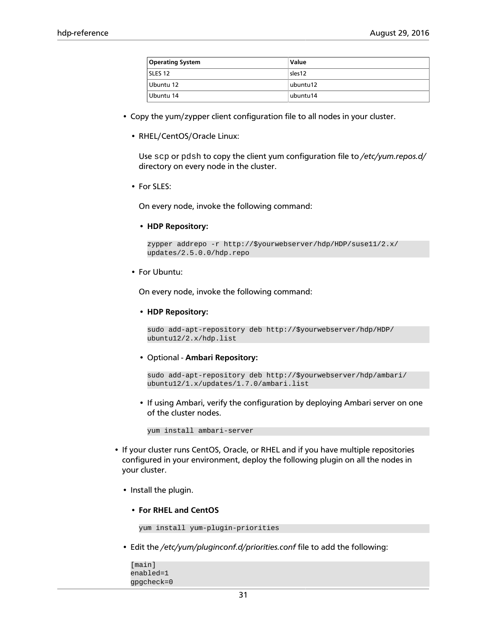| <b>Operating System</b> | Value     |
|-------------------------|-----------|
| SLES 12                 | sles12    |
| Ubuntu 12               | ubuntu 12 |
| Ubuntu 14               | ubuntu14  |

- Copy the yum/zypper client configuration file to all nodes in your cluster.
	- RHEL/CentOS/Oracle Linux:

Use scp or pdsh to copy the client yum configuration file to */etc/yum.repos.d/* directory on every node in the cluster.

• For SLES:

On every node, invoke the following command:

• **HDP Repository:**

```
zypper addrepo -r http://$yourwebserver/hdp/HDP/suse11/2.x/
updates/2.5.0.0/hdp.repo
```
• For Ubuntu:

On every node, invoke the following command:

• **HDP Repository:**

```
sudo add-apt-repository deb http://$yourwebserver/hdp/HDP/
ubuntu12/2.x/hdp.list
```
• Optional - **Ambari Repository:**

```
sudo add-apt-repository deb http://$yourwebserver/hdp/ambari/
ubuntu12/1.x/updates/1.7.0/ambari.list
```
• If using Ambari, verify the configuration by deploying Ambari server on one of the cluster nodes.

yum install ambari-server

- If your cluster runs CentOS, Oracle, or RHEL and if you have multiple repositories configured in your environment, deploy the following plugin on all the nodes in your cluster.
	- Install the plugin.
		- **For RHEL and CentOS**

```
yum install yum-plugin-priorities
```
• Edit the */etc/yum/pluginconf.d/priorities.conf* file to add the following:

```
[main]
enabled=1
gpgcheck=0
```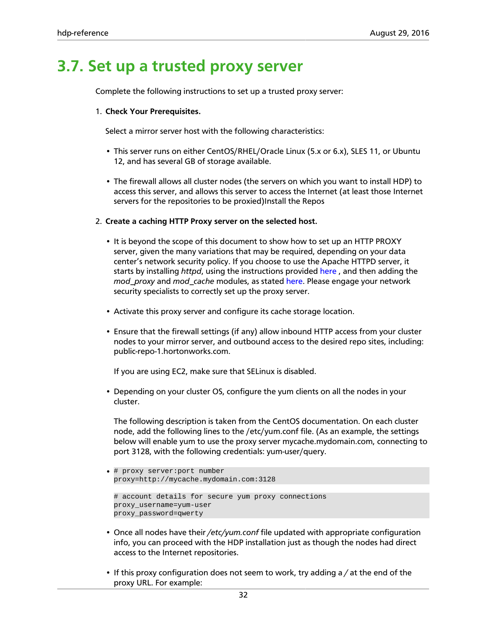### <span id="page-35-0"></span>**3.7. Set up a trusted proxy server**

Complete the following instructions to set up a trusted proxy server:

#### 1. **Check Your Prerequisites.**

Select a mirror server host with the following characteristics:

- This server runs on either CentOS/RHEL/Oracle Linux (5.x or 6.x), SLES 11, or Ubuntu 12, and has several GB of storage available.
- The firewall allows all cluster nodes (the servers on which you want to install HDP) to access this server, and allows this server to access the Internet (at least those Internet servers for the repositories to be proxied)Install the Repos

#### 2. **Create a caching HTTP Proxy server on the selected host.**

- It is beyond the scope of this document to show how to set up an HTTP PROXY server, given the many variations that may be required, depending on your data center's network security policy. If you choose to use the Apache HTTPD server, it starts by installing *httpd*, using the instructions provided [here](http://httpd.apache.org/download.cgi) , and then adding the *mod\_proxy* and *mod\_cache* modules, as stated [here.](http://httpd.apache.org/docs/2.2/mod/mod_proxy.html) Please engage your network security specialists to correctly set up the proxy server.
- Activate this proxy server and configure its cache storage location.
- Ensure that the firewall settings (if any) allow inbound HTTP access from your cluster nodes to your mirror server, and outbound access to the desired repo sites, including: public-repo-1.hortonworks.com.

If you are using EC2, make sure that SELinux is disabled.

• Depending on your cluster OS, configure the yum clients on all the nodes in your cluster.

The following description is taken from the CentOS documentation. On each cluster node, add the following lines to the /etc/yum.conf file. (As an example, the settings below will enable yum to use the proxy server mycache.mydomain.com, connecting to port 3128, with the following credentials: yum-user/query.

```
• # proxy server:port number
 proxy=http://mycache.mydomain.com:3128
```

```
# account details for secure yum proxy connections
proxy_username=yum-user
proxy_password=qwerty
```
- Once all nodes have their */etc/yum.conf* file updated with appropriate configuration info, you can proceed with the HDP installation just as though the nodes had direct access to the Internet repositories.
- If this proxy configuration does not seem to work, try adding a */* at the end of the proxy URL. For example: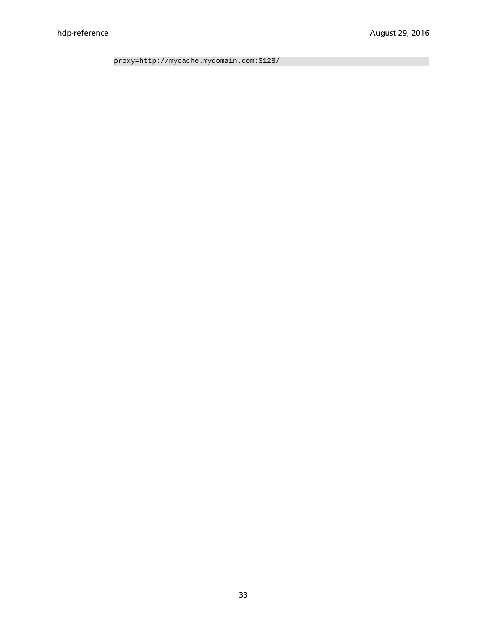proxy=http://mycache.mydomain.com:3128/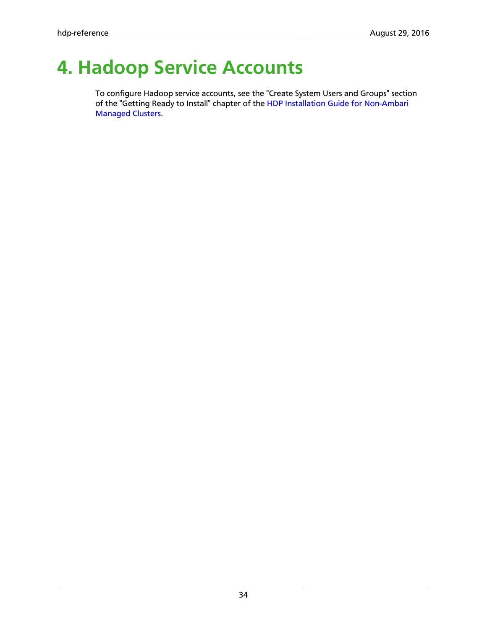# <span id="page-37-0"></span>**4. Hadoop Service Accounts**

To configure Hadoop service accounts, see the "Create System Users and Groups" section of the "Getting Ready to Install" chapter of the [HDP Installation Guide for Non-Ambari](https://docs.hortonworks.com/HDPDocuments/HDP2/HDP-2.5.0/bk_command-line-installation/content/ch_getting_ready_chapter.html) [Managed Clusters](https://docs.hortonworks.com/HDPDocuments/HDP2/HDP-2.5.0/bk_command-line-installation/content/ch_getting_ready_chapter.html).